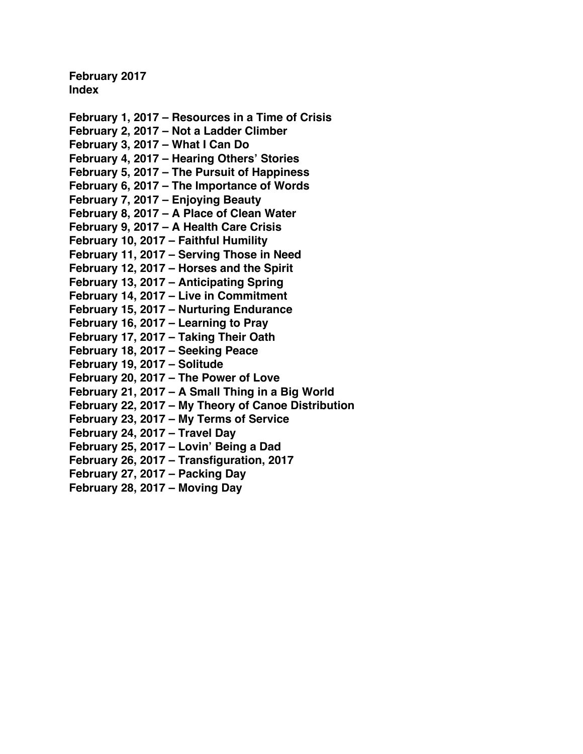**February 2017 Index**

**February 1, 2017 – [Resources in a Time of Crisis](#page-1-0) February 2, 2017 – [Not a Ladder Climber](#page-3-0) [February 3, 2017 –](#page-5-0) What I Can Do February 4, 2017 – [Hearing Others' Stories](#page-7-0) February 5, 2017 – [The Pursuit of Happiness](#page-9-0) February 6, 2017 – [The Importance of Words](#page-11-0) [February 7, 2017 –](#page-14-0) Enjoying Beauty February 8, 2017 – [A Place of Clean Water](#page-16-0) February 9, 2017 – [A Health Care Crisis](#page-19-0) [February 10, 2017 –](#page-21-0) Faithful Humility February 11, 2017 – [Serving Those in Need](#page-23-0) February 12, 2017 – [Horses and the Spirit](#page-25-0) [February 13, 2017 –](#page-27-0) Anticipating Spring February 14, 2017 – [Live in Commitment](#page-30-0) February 15, 2017 – [Nurturing Endurance](#page-32-0) [February 16, 2017 –](#page-34-0) Learning to Pray [February 17, 2017 –](#page-34-0) Taking Their Oath [February 18, 2017 –](#page-38-0) Seeking Peace [February 19, 2017 –](#page-40-0) Solitude [February 20, 2017 –](#page-42-0) The Power of Love February 21, 2017 – [A Small Thing in a Big World](#page-44-0) February 22, 2017 – [My Theory of Canoe Distribution](#page-46-0) February 23, 2017 – [My Terms of Service](#page-48-0) [February 24, 2017 –](#page-50-0) Travel Day [February 25, 2017 –](#page-52-0) Lovin' Being a Dad [February 26, 2017 –](#page-54-0) Transfiguration, 2017 [February 27, 2017 –](#page-56-0) Packing Day**

**[February 28, 2017 –](#page-58-0) Moving Day**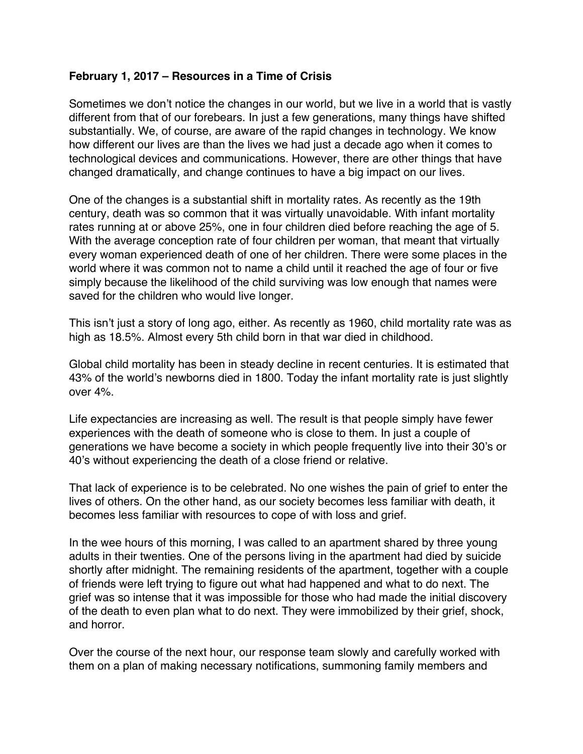#### <span id="page-1-0"></span>**February 1, 2017 – Resources in a Time of Crisis**

Sometimes we don't notice the changes in our world, but we live in a world that is vastly different from that of our forebears. In just a few generations, many things have shifted substantially. We, of course, are aware of the rapid changes in technology. We know how different our lives are than the lives we had just a decade ago when it comes to technological devices and communications. However, there are other things that have changed dramatically, and change continues to have a big impact on our lives.

One of the changes is a substantial shift in mortality rates. As recently as the 19th century, death was so common that it was virtually unavoidable. With infant mortality rates running at or above 25%, one in four children died before reaching the age of 5. With the average conception rate of four children per woman, that meant that virtually every woman experienced death of one of her children. There were some places in the world where it was common not to name a child until it reached the age of four or five simply because the likelihood of the child surviving was low enough that names were saved for the children who would live longer.

This isn't just a story of long ago, either. As recently as 1960, child mortality rate was as high as 18.5%. Almost every 5th child born in that war died in childhood.

Global child mortality has been in steady decline in recent centuries. It is estimated that 43% of the world's newborns died in 1800. Today the infant mortality rate is just slightly over 4%.

Life expectancies are increasing as well. The result is that people simply have fewer experiences with the death of someone who is close to them. In just a couple of generations we have become a society in which people frequently live into their 30's or 40's without experiencing the death of a close friend or relative.

That lack of experience is to be celebrated. No one wishes the pain of grief to enter the lives of others. On the other hand, as our society becomes less familiar with death, it becomes less familiar with resources to cope of with loss and grief.

In the wee hours of this morning, I was called to an apartment shared by three young adults in their twenties. One of the persons living in the apartment had died by suicide shortly after midnight. The remaining residents of the apartment, together with a couple of friends were left trying to figure out what had happened and what to do next. The grief was so intense that it was impossible for those who had made the initial discovery of the death to even plan what to do next. They were immobilized by their grief, shock, and horror.

Over the course of the next hour, our response team slowly and carefully worked with them on a plan of making necessary notifications, summoning family members and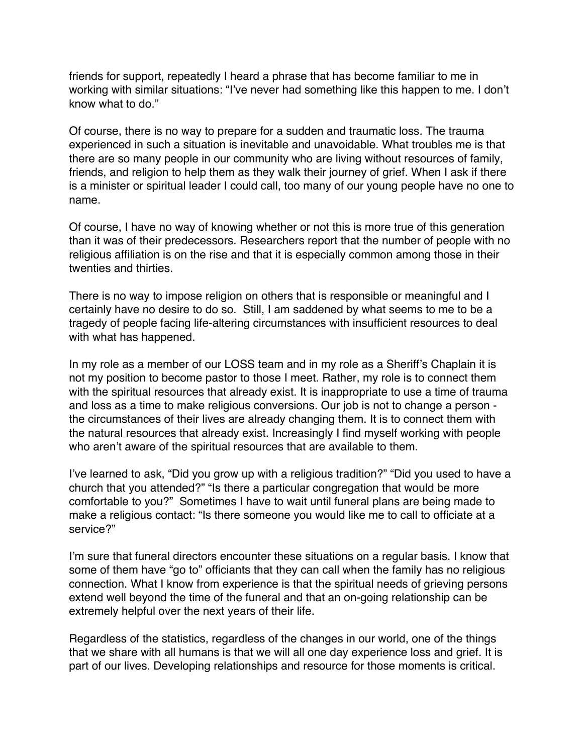friends for support, repeatedly I heard a phrase that has become familiar to me in working with similar situations: "I've never had something like this happen to me. I don't know what to do."

Of course, there is no way to prepare for a sudden and traumatic loss. The trauma experienced in such a situation is inevitable and unavoidable. What troubles me is that there are so many people in our community who are living without resources of family, friends, and religion to help them as they walk their journey of grief. When I ask if there is a minister or spiritual leader I could call, too many of our young people have no one to name.

Of course, I have no way of knowing whether or not this is more true of this generation than it was of their predecessors. Researchers report that the number of people with no religious affiliation is on the rise and that it is especially common among those in their twenties and thirties.

There is no way to impose religion on others that is responsible or meaningful and I certainly have no desire to do so. Still, I am saddened by what seems to me to be a tragedy of people facing life-altering circumstances with insufficient resources to deal with what has happened.

In my role as a member of our LOSS team and in my role as a Sheriff's Chaplain it is not my position to become pastor to those I meet. Rather, my role is to connect them with the spiritual resources that already exist. It is inappropriate to use a time of trauma and loss as a time to make religious conversions. Our job is not to change a person the circumstances of their lives are already changing them. It is to connect them with the natural resources that already exist. Increasingly I find myself working with people who aren't aware of the spiritual resources that are available to them.

I've learned to ask, "Did you grow up with a religious tradition?" "Did you used to have a church that you attended?" "Is there a particular congregation that would be more comfortable to you?" Sometimes I have to wait until funeral plans are being made to make a religious contact: "Is there someone you would like me to call to officiate at a service?"

I'm sure that funeral directors encounter these situations on a regular basis. I know that some of them have "go to" officiants that they can call when the family has no religious connection. What I know from experience is that the spiritual needs of grieving persons extend well beyond the time of the funeral and that an on-going relationship can be extremely helpful over the next years of their life.

Regardless of the statistics, regardless of the changes in our world, one of the things that we share with all humans is that we will all one day experience loss and grief. It is part of our lives. Developing relationships and resource for those moments is critical.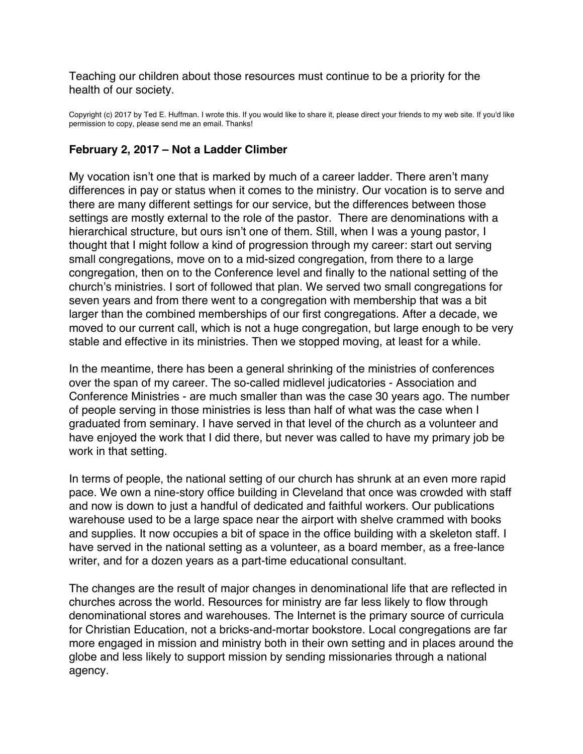<span id="page-3-0"></span>Teaching our children about those resources must continue to be a priority for the health of our society.

Copyright (c) 2017 by Ted E. Huffman. I wrote this. If you would like to share it, please direct your friends to my web site. If you'd like permission to copy, please send me an email. Thanks!

## **February 2, 2017 – Not a Ladder Climber**

My vocation isn't one that is marked by much of a career ladder. There aren't many differences in pay or status when it comes to the ministry. Our vocation is to serve and there are many different settings for our service, but the differences between those settings are mostly external to the role of the pastor. There are denominations with a hierarchical structure, but ours isn't one of them. Still, when I was a young pastor, I thought that I might follow a kind of progression through my career: start out serving small congregations, move on to a mid-sized congregation, from there to a large congregation, then on to the Conference level and finally to the national setting of the church's ministries. I sort of followed that plan. We served two small congregations for seven years and from there went to a congregation with membership that was a bit larger than the combined memberships of our first congregations. After a decade, we moved to our current call, which is not a huge congregation, but large enough to be very stable and effective in its ministries. Then we stopped moving, at least for a while.

In the meantime, there has been a general shrinking of the ministries of conferences over the span of my career. The so-called midlevel judicatories - Association and Conference Ministries - are much smaller than was the case 30 years ago. The number of people serving in those ministries is less than half of what was the case when I graduated from seminary. I have served in that level of the church as a volunteer and have enjoyed the work that I did there, but never was called to have my primary job be work in that setting.

In terms of people, the national setting of our church has shrunk at an even more rapid pace. We own a nine-story office building in Cleveland that once was crowded with staff and now is down to just a handful of dedicated and faithful workers. Our publications warehouse used to be a large space near the airport with shelve crammed with books and supplies. It now occupies a bit of space in the office building with a skeleton staff. I have served in the national setting as a volunteer, as a board member, as a free-lance writer, and for a dozen years as a part-time educational consultant.

The changes are the result of major changes in denominational life that are reflected in churches across the world. Resources for ministry are far less likely to flow through denominational stores and warehouses. The Internet is the primary source of curricula for Christian Education, not a bricks-and-mortar bookstore. Local congregations are far more engaged in mission and ministry both in their own setting and in places around the globe and less likely to support mission by sending missionaries through a national agency.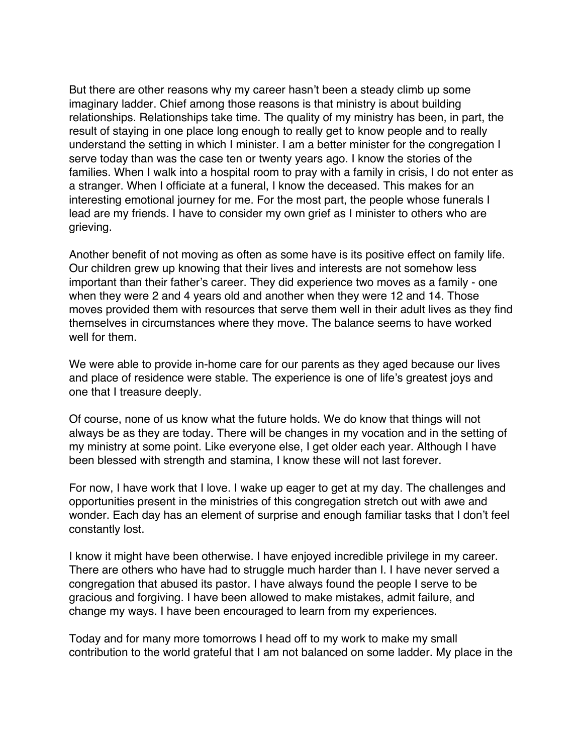But there are other reasons why my career hasn't been a steady climb up some imaginary ladder. Chief among those reasons is that ministry is about building relationships. Relationships take time. The quality of my ministry has been, in part, the result of staying in one place long enough to really get to know people and to really understand the setting in which I minister. I am a better minister for the congregation I serve today than was the case ten or twenty years ago. I know the stories of the families. When I walk into a hospital room to pray with a family in crisis, I do not enter as a stranger. When I officiate at a funeral, I know the deceased. This makes for an interesting emotional journey for me. For the most part, the people whose funerals I lead are my friends. I have to consider my own grief as I minister to others who are grieving.

Another benefit of not moving as often as some have is its positive effect on family life. Our children grew up knowing that their lives and interests are not somehow less important than their father's career. They did experience two moves as a family - one when they were 2 and 4 years old and another when they were 12 and 14. Those moves provided them with resources that serve them well in their adult lives as they find themselves in circumstances where they move. The balance seems to have worked well for them.

We were able to provide in-home care for our parents as they aged because our lives and place of residence were stable. The experience is one of life's greatest joys and one that I treasure deeply.

Of course, none of us know what the future holds. We do know that things will not always be as they are today. There will be changes in my vocation and in the setting of my ministry at some point. Like everyone else, I get older each year. Although I have been blessed with strength and stamina, I know these will not last forever.

For now, I have work that I love. I wake up eager to get at my day. The challenges and opportunities present in the ministries of this congregation stretch out with awe and wonder. Each day has an element of surprise and enough familiar tasks that I don't feel constantly lost.

I know it might have been otherwise. I have enjoyed incredible privilege in my career. There are others who have had to struggle much harder than I. I have never served a congregation that abused its pastor. I have always found the people I serve to be gracious and forgiving. I have been allowed to make mistakes, admit failure, and change my ways. I have been encouraged to learn from my experiences.

Today and for many more tomorrows I head off to my work to make my small contribution to the world grateful that I am not balanced on some ladder. My place in the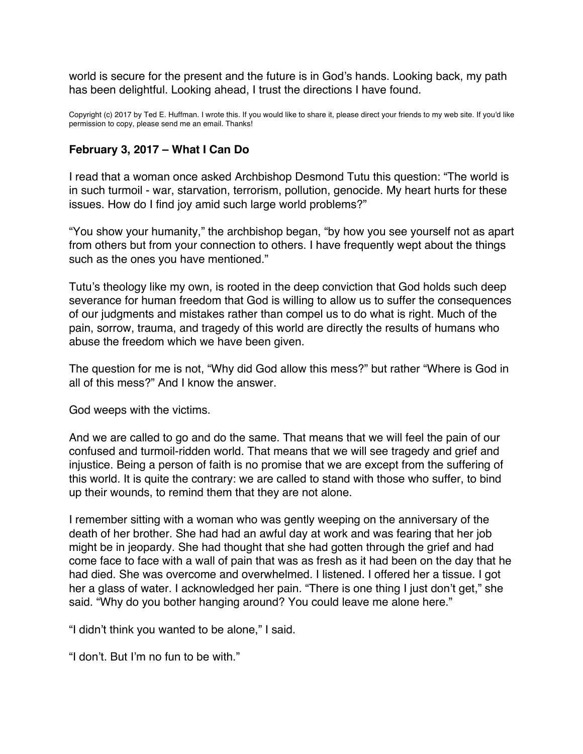<span id="page-5-0"></span>world is secure for the present and the future is in God's hands. Looking back, my path has been delightful. Looking ahead, I trust the directions I have found.

Copyright (c) 2017 by Ted E. Huffman. I wrote this. If you would like to share it, please direct your friends to my web site. If you'd like permission to copy, please send me an email. Thanks!

#### **February 3, 2017 – What I Can Do**

I read that a woman once asked Archbishop Desmond Tutu this question: "The world is in such turmoil - war, starvation, terrorism, pollution, genocide. My heart hurts for these issues. How do I find joy amid such large world problems?"

"You show your humanity," the archbishop began, "by how you see yourself not as apart from others but from your connection to others. I have frequently wept about the things such as the ones you have mentioned."

Tutu's theology like my own, is rooted in the deep conviction that God holds such deep severance for human freedom that God is willing to allow us to suffer the consequences of our judgments and mistakes rather than compel us to do what is right. Much of the pain, sorrow, trauma, and tragedy of this world are directly the results of humans who abuse the freedom which we have been given.

The question for me is not, "Why did God allow this mess?" but rather "Where is God in all of this mess?" And I know the answer.

God weeps with the victims.

And we are called to go and do the same. That means that we will feel the pain of our confused and turmoil-ridden world. That means that we will see tragedy and grief and injustice. Being a person of faith is no promise that we are except from the suffering of this world. It is quite the contrary: we are called to stand with those who suffer, to bind up their wounds, to remind them that they are not alone.

I remember sitting with a woman who was gently weeping on the anniversary of the death of her brother. She had had an awful day at work and was fearing that her job might be in jeopardy. She had thought that she had gotten through the grief and had come face to face with a wall of pain that was as fresh as it had been on the day that he had died. She was overcome and overwhelmed. I listened. I offered her a tissue. I got her a glass of water. I acknowledged her pain. "There is one thing I just don't get," she said. "Why do you bother hanging around? You could leave me alone here."

"I didn't think you wanted to be alone," I said.

"I don't. But I'm no fun to be with."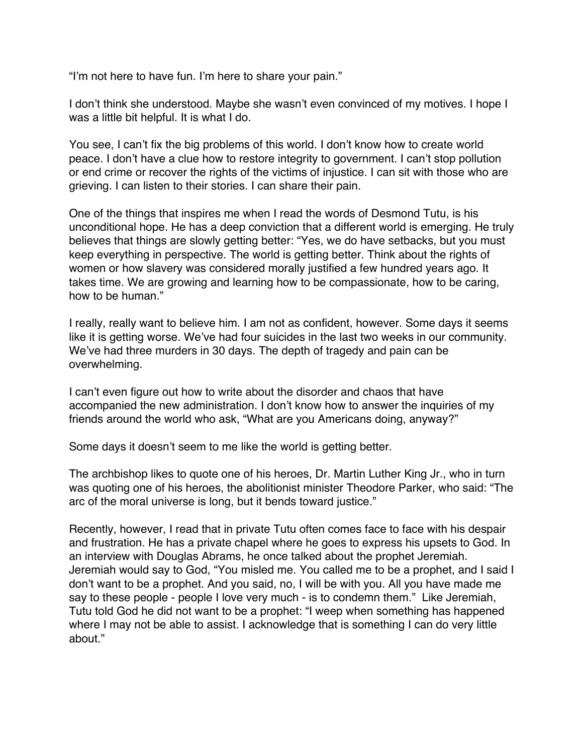"I'm not here to have fun. I'm here to share your pain."

I don't think she understood. Maybe she wasn't even convinced of my motives. I hope I was a little bit helpful. It is what I do.

You see, I can't fix the big problems of this world. I don't know how to create world peace. I don't have a clue how to restore integrity to government. I can't stop pollution or end crime or recover the rights of the victims of injustice. I can sit with those who are grieving. I can listen to their stories. I can share their pain.

One of the things that inspires me when I read the words of Desmond Tutu, is his unconditional hope. He has a deep conviction that a different world is emerging. He truly believes that things are slowly getting better: "Yes, we do have setbacks, but you must keep everything in perspective. The world is getting better. Think about the rights of women or how slavery was considered morally justified a few hundred years ago. It takes time. We are growing and learning how to be compassionate, how to be caring, how to be human."

I really, really want to believe him. I am not as confident, however. Some days it seems like it is getting worse. We've had four suicides in the last two weeks in our community. We've had three murders in 30 days. The depth of tragedy and pain can be overwhelming.

I can't even figure out how to write about the disorder and chaos that have accompanied the new administration. I don't know how to answer the inquiries of my friends around the world who ask, "What are you Americans doing, anyway?"

Some days it doesn't seem to me like the world is getting better.

The archbishop likes to quote one of his heroes, Dr. Martin Luther King Jr., who in turn was quoting one of his heroes, the abolitionist minister Theodore Parker, who said: "The arc of the moral universe is long, but it bends toward justice."

Recently, however, I read that in private Tutu often comes face to face with his despair and frustration. He has a private chapel where he goes to express his upsets to God. In an interview with Douglas Abrams, he once talked about the prophet Jeremiah. Jeremiah would say to God, "You misled me. You called me to be a prophet, and I said I don't want to be a prophet. And you said, no, I will be with you. All you have made me say to these people - people I love very much - is to condemn them." Like Jeremiah, Tutu told God he did not want to be a prophet: "I weep when something has happened where I may not be able to assist. I acknowledge that is something I can do very little about."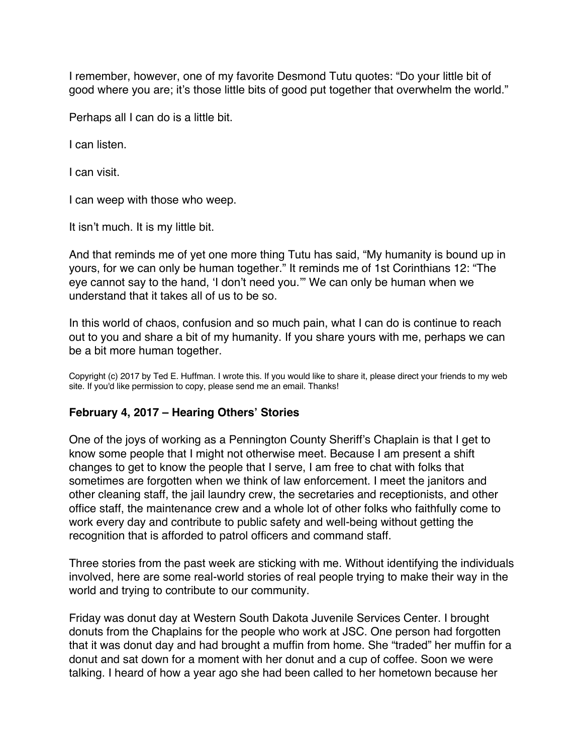<span id="page-7-0"></span>I remember, however, one of my favorite Desmond Tutu quotes: "Do your little bit of good where you are; it's those little bits of good put together that overwhelm the world."

Perhaps all I can do is a little bit.

I can listen.

I can visit.

I can weep with those who weep.

It isn't much. It is my little bit.

And that reminds me of yet one more thing Tutu has said, "My humanity is bound up in yours, for we can only be human together." It reminds me of 1st Corinthians 12: "The eye cannot say to the hand, 'I don't need you.'" We can only be human when we understand that it takes all of us to be so.

In this world of chaos, confusion and so much pain, what I can do is continue to reach out to you and share a bit of my humanity. If you share yours with me, perhaps we can be a bit more human together.

Copyright (c) 2017 by Ted E. Huffman. I wrote this. If you would like to share it, please direct your friends to my web site. If you'd like permission to copy, please send me an email. Thanks!

# **February 4, 2017 – Hearing Others' Stories**

One of the joys of working as a Pennington County Sheriff's Chaplain is that I get to know some people that I might not otherwise meet. Because I am present a shift changes to get to know the people that I serve, I am free to chat with folks that sometimes are forgotten when we think of law enforcement. I meet the janitors and other cleaning staff, the jail laundry crew, the secretaries and receptionists, and other office staff, the maintenance crew and a whole lot of other folks who faithfully come to work every day and contribute to public safety and well-being without getting the recognition that is afforded to patrol officers and command staff.

Three stories from the past week are sticking with me. Without identifying the individuals involved, here are some real-world stories of real people trying to make their way in the world and trying to contribute to our community.

Friday was donut day at Western South Dakota Juvenile Services Center. I brought donuts from the Chaplains for the people who work at JSC. One person had forgotten that it was donut day and had brought a muffin from home. She "traded" her muffin for a donut and sat down for a moment with her donut and a cup of coffee. Soon we were talking. I heard of how a year ago she had been called to her hometown because her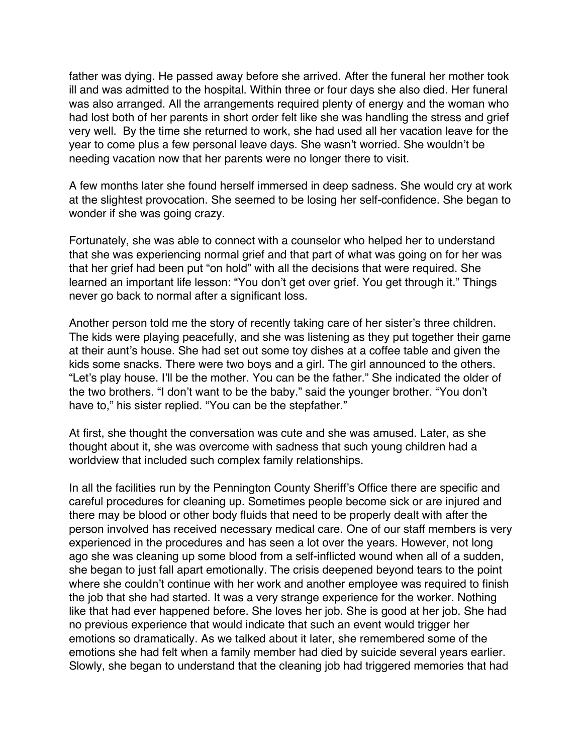father was dying. He passed away before she arrived. After the funeral her mother took ill and was admitted to the hospital. Within three or four days she also died. Her funeral was also arranged. All the arrangements required plenty of energy and the woman who had lost both of her parents in short order felt like she was handling the stress and grief very well. By the time she returned to work, she had used all her vacation leave for the year to come plus a few personal leave days. She wasn't worried. She wouldn't be needing vacation now that her parents were no longer there to visit.

A few months later she found herself immersed in deep sadness. She would cry at work at the slightest provocation. She seemed to be losing her self-confidence. She began to wonder if she was going crazy.

Fortunately, she was able to connect with a counselor who helped her to understand that she was experiencing normal grief and that part of what was going on for her was that her grief had been put "on hold" with all the decisions that were required. She learned an important life lesson: "You don't get over grief. You get through it." Things never go back to normal after a significant loss.

Another person told me the story of recently taking care of her sister's three children. The kids were playing peacefully, and she was listening as they put together their game at their aunt's house. She had set out some toy dishes at a coffee table and given the kids some snacks. There were two boys and a girl. The girl announced to the others. "Let's play house. I'll be the mother. You can be the father." She indicated the older of the two brothers. "I don't want to be the baby." said the younger brother. "You don't have to," his sister replied. "You can be the stepfather."

At first, she thought the conversation was cute and she was amused. Later, as she thought about it, she was overcome with sadness that such young children had a worldview that included such complex family relationships.

In all the facilities run by the Pennington County Sheriff's Office there are specific and careful procedures for cleaning up. Sometimes people become sick or are injured and there may be blood or other body fluids that need to be properly dealt with after the person involved has received necessary medical care. One of our staff members is very experienced in the procedures and has seen a lot over the years. However, not long ago she was cleaning up some blood from a self-inflicted wound when all of a sudden, she began to just fall apart emotionally. The crisis deepened beyond tears to the point where she couldn't continue with her work and another employee was required to finish the job that she had started. It was a very strange experience for the worker. Nothing like that had ever happened before. She loves her job. She is good at her job. She had no previous experience that would indicate that such an event would trigger her emotions so dramatically. As we talked about it later, she remembered some of the emotions she had felt when a family member had died by suicide several years earlier. Slowly, she began to understand that the cleaning job had triggered memories that had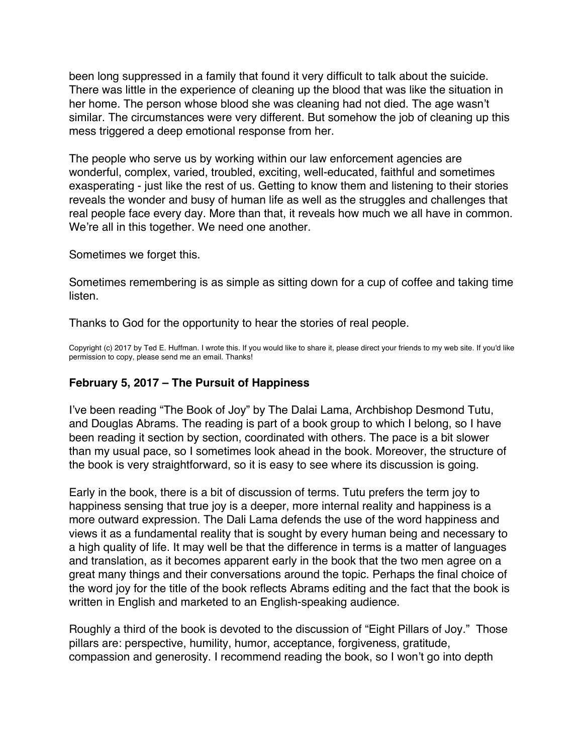<span id="page-9-0"></span>been long suppressed in a family that found it very difficult to talk about the suicide. There was little in the experience of cleaning up the blood that was like the situation in her home. The person whose blood she was cleaning had not died. The age wasn't similar. The circumstances were very different. But somehow the job of cleaning up this mess triggered a deep emotional response from her.

The people who serve us by working within our law enforcement agencies are wonderful, complex, varied, troubled, exciting, well-educated, faithful and sometimes exasperating - just like the rest of us. Getting to know them and listening to their stories reveals the wonder and busy of human life as well as the struggles and challenges that real people face every day. More than that, it reveals how much we all have in common. We're all in this together. We need one another.

Sometimes we forget this.

Sometimes remembering is as simple as sitting down for a cup of coffee and taking time listen.

Thanks to God for the opportunity to hear the stories of real people.

Copyright (c) 2017 by Ted E. Huffman. I wrote this. If you would like to share it, please direct your friends to my web site. If you'd like permission to copy, please send me an email. Thanks!

#### **February 5, 2017 – The Pursuit of Happiness**

I've been reading "The Book of Joy" by The Dalai Lama, Archbishop Desmond Tutu, and Douglas Abrams. The reading is part of a book group to which I belong, so I have been reading it section by section, coordinated with others. The pace is a bit slower than my usual pace, so I sometimes look ahead in the book. Moreover, the structure of the book is very straightforward, so it is easy to see where its discussion is going.

Early in the book, there is a bit of discussion of terms. Tutu prefers the term joy to happiness sensing that true joy is a deeper, more internal reality and happiness is a more outward expression. The Dali Lama defends the use of the word happiness and views it as a fundamental reality that is sought by every human being and necessary to a high quality of life. It may well be that the difference in terms is a matter of languages and translation, as it becomes apparent early in the book that the two men agree on a great many things and their conversations around the topic. Perhaps the final choice of the word joy for the title of the book reflects Abrams editing and the fact that the book is written in English and marketed to an English-speaking audience.

Roughly a third of the book is devoted to the discussion of "Eight Pillars of Joy." Those pillars are: perspective, humility, humor, acceptance, forgiveness, gratitude, compassion and generosity. I recommend reading the book, so I won't go into depth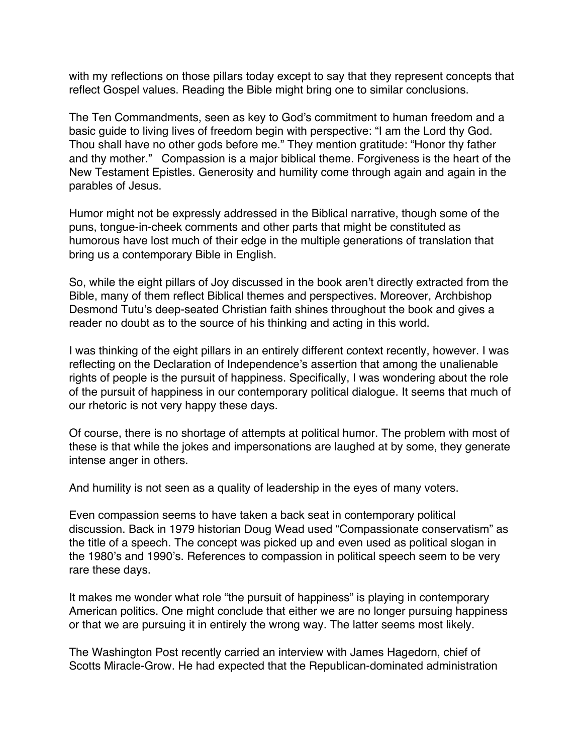with my reflections on those pillars today except to say that they represent concepts that reflect Gospel values. Reading the Bible might bring one to similar conclusions.

The Ten Commandments, seen as key to God's commitment to human freedom and a basic guide to living lives of freedom begin with perspective: "I am the Lord thy God. Thou shall have no other gods before me." They mention gratitude: "Honor thy father and thy mother." Compassion is a major biblical theme. Forgiveness is the heart of the New Testament Epistles. Generosity and humility come through again and again in the parables of Jesus.

Humor might not be expressly addressed in the Biblical narrative, though some of the puns, tongue-in-cheek comments and other parts that might be constituted as humorous have lost much of their edge in the multiple generations of translation that bring us a contemporary Bible in English.

So, while the eight pillars of Joy discussed in the book aren't directly extracted from the Bible, many of them reflect Biblical themes and perspectives. Moreover, Archbishop Desmond Tutu's deep-seated Christian faith shines throughout the book and gives a reader no doubt as to the source of his thinking and acting in this world.

I was thinking of the eight pillars in an entirely different context recently, however. I was reflecting on the Declaration of Independence's assertion that among the unalienable rights of people is the pursuit of happiness. Specifically, I was wondering about the role of the pursuit of happiness in our contemporary political dialogue. It seems that much of our rhetoric is not very happy these days.

Of course, there is no shortage of attempts at political humor. The problem with most of these is that while the jokes and impersonations are laughed at by some, they generate intense anger in others.

And humility is not seen as a quality of leadership in the eyes of many voters.

Even compassion seems to have taken a back seat in contemporary political discussion. Back in 1979 historian Doug Wead used "Compassionate conservatism" as the title of a speech. The concept was picked up and even used as political slogan in the 1980's and 1990's. References to compassion in political speech seem to be very rare these days.

It makes me wonder what role "the pursuit of happiness" is playing in contemporary American politics. One might conclude that either we are no longer pursuing happiness or that we are pursuing it in entirely the wrong way. The latter seems most likely.

The Washington Post recently carried an interview with James Hagedorn, chief of Scotts Miracle-Grow. He had expected that the Republican-dominated administration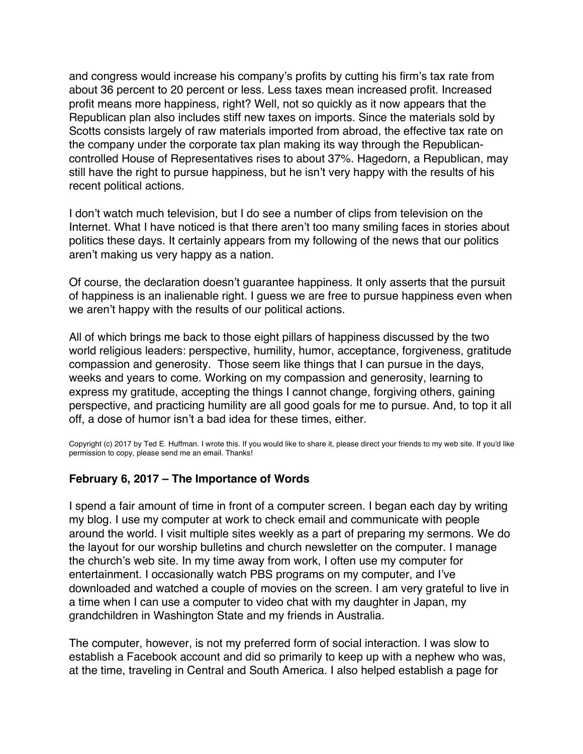<span id="page-11-0"></span>and congress would increase his company's profits by cutting his firm's tax rate from about 36 percent to 20 percent or less. Less taxes mean increased profit. Increased profit means more happiness, right? Well, not so quickly as it now appears that the Republican plan also includes stiff new taxes on imports. Since the materials sold by Scotts consists largely of raw materials imported from abroad, the effective tax rate on the company under the corporate tax plan making its way through the Republicancontrolled House of Representatives rises to about 37%. Hagedorn, a Republican, may still have the right to pursue happiness, but he isn't very happy with the results of his recent political actions.

I don't watch much television, but I do see a number of clips from television on the Internet. What I have noticed is that there aren't too many smiling faces in stories about politics these days. It certainly appears from my following of the news that our politics aren't making us very happy as a nation.

Of course, the declaration doesn't guarantee happiness. It only asserts that the pursuit of happiness is an inalienable right. I guess we are free to pursue happiness even when we aren't happy with the results of our political actions.

All of which brings me back to those eight pillars of happiness discussed by the two world religious leaders: perspective, humility, humor, acceptance, forgiveness, gratitude compassion and generosity. Those seem like things that I can pursue in the days, weeks and years to come. Working on my compassion and generosity, learning to express my gratitude, accepting the things I cannot change, forgiving others, gaining perspective, and practicing humility are all good goals for me to pursue. And, to top it all off, a dose of humor isn't a bad idea for these times, either.

Copyright (c) 2017 by Ted E. Huffman. I wrote this. If you would like to share it, please direct your friends to my web site. If you'd like permission to copy, please send me an email. Thanks!

#### **February 6, 2017 – The Importance of Words**

I spend a fair amount of time in front of a computer screen. I began each day by writing my blog. I use my computer at work to check email and communicate with people around the world. I visit multiple sites weekly as a part of preparing my sermons. We do the layout for our worship bulletins and church newsletter on the computer. I manage the church's web site. In my time away from work, I often use my computer for entertainment. I occasionally watch PBS programs on my computer, and I've downloaded and watched a couple of movies on the screen. I am very grateful to live in a time when I can use a computer to video chat with my daughter in Japan, my grandchildren in Washington State and my friends in Australia.

The computer, however, is not my preferred form of social interaction. I was slow to establish a Facebook account and did so primarily to keep up with a nephew who was, at the time, traveling in Central and South America. I also helped establish a page for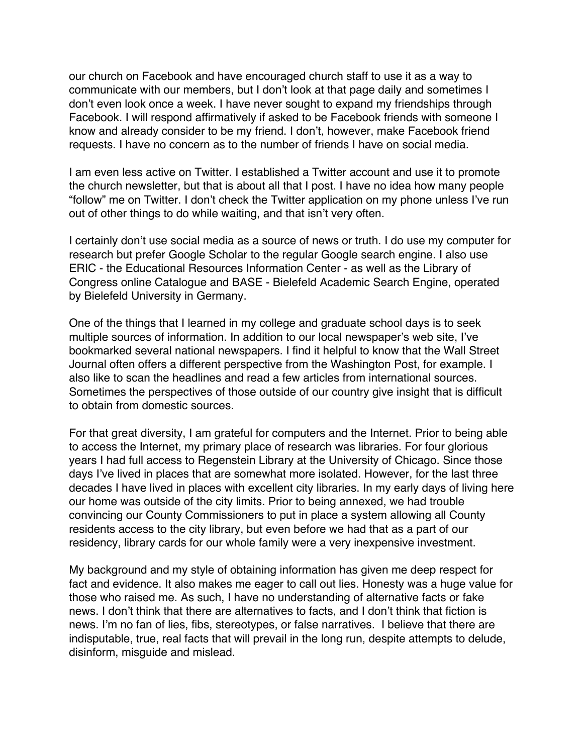our church on Facebook and have encouraged church staff to use it as a way to communicate with our members, but I don't look at that page daily and sometimes I don't even look once a week. I have never sought to expand my friendships through Facebook. I will respond affirmatively if asked to be Facebook friends with someone I know and already consider to be my friend. I don't, however, make Facebook friend requests. I have no concern as to the number of friends I have on social media.

I am even less active on Twitter. I established a Twitter account and use it to promote the church newsletter, but that is about all that I post. I have no idea how many people "follow" me on Twitter. I don't check the Twitter application on my phone unless I've run out of other things to do while waiting, and that isn't very often.

I certainly don't use social media as a source of news or truth. I do use my computer for research but prefer Google Scholar to the regular Google search engine. I also use ERIC - the Educational Resources Information Center - as well as the Library of Congress online Catalogue and BASE - Bielefeld Academic Search Engine, operated by Bielefeld University in Germany.

One of the things that I learned in my college and graduate school days is to seek multiple sources of information. In addition to our local newspaper's web site, I've bookmarked several national newspapers. I find it helpful to know that the Wall Street Journal often offers a different perspective from the Washington Post, for example. I also like to scan the headlines and read a few articles from international sources. Sometimes the perspectives of those outside of our country give insight that is difficult to obtain from domestic sources.

For that great diversity, I am grateful for computers and the Internet. Prior to being able to access the Internet, my primary place of research was libraries. For four glorious years I had full access to Regenstein Library at the University of Chicago. Since those days I've lived in places that are somewhat more isolated. However, for the last three decades I have lived in places with excellent city libraries. In my early days of living here our home was outside of the city limits. Prior to being annexed, we had trouble convincing our County Commissioners to put in place a system allowing all County residents access to the city library, but even before we had that as a part of our residency, library cards for our whole family were a very inexpensive investment.

My background and my style of obtaining information has given me deep respect for fact and evidence. It also makes me eager to call out lies. Honesty was a huge value for those who raised me. As such, I have no understanding of alternative facts or fake news. I don't think that there are alternatives to facts, and I don't think that fiction is news. I'm no fan of lies, fibs, stereotypes, or false narratives. I believe that there are indisputable, true, real facts that will prevail in the long run, despite attempts to delude, disinform, misguide and mislead.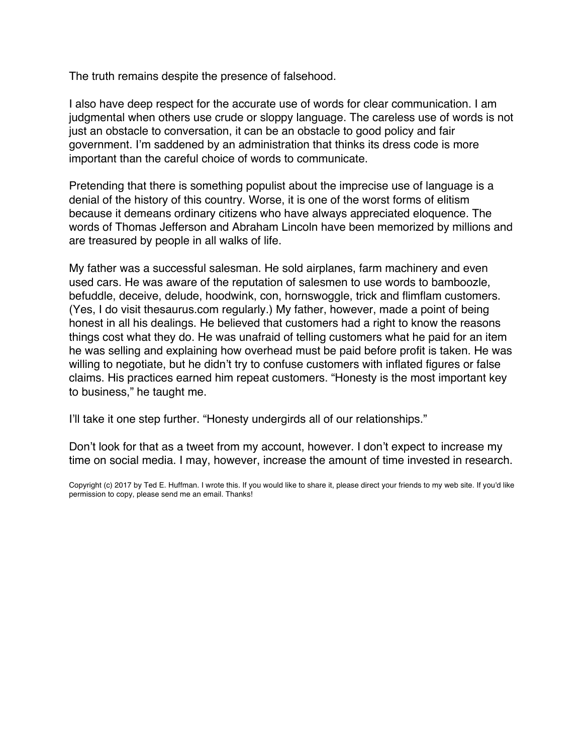The truth remains despite the presence of falsehood.

I also have deep respect for the accurate use of words for clear communication. I am judgmental when others use crude or sloppy language. The careless use of words is not just an obstacle to conversation, it can be an obstacle to good policy and fair government. I'm saddened by an administration that thinks its dress code is more important than the careful choice of words to communicate.

Pretending that there is something populist about the imprecise use of language is a denial of the history of this country. Worse, it is one of the worst forms of elitism because it demeans ordinary citizens who have always appreciated eloquence. The words of Thomas Jefferson and Abraham Lincoln have been memorized by millions and are treasured by people in all walks of life.

My father was a successful salesman. He sold airplanes, farm machinery and even used cars. He was aware of the reputation of salesmen to use words to bamboozle, befuddle, deceive, delude, hoodwink, con, hornswoggle, trick and flimflam customers. (Yes, I do visit thesaurus.com regularly.) My father, however, made a point of being honest in all his dealings. He believed that customers had a right to know the reasons things cost what they do. He was unafraid of telling customers what he paid for an item he was selling and explaining how overhead must be paid before profit is taken. He was willing to negotiate, but he didn't try to confuse customers with inflated figures or false claims. His practices earned him repeat customers. "Honesty is the most important key to business," he taught me.

I'll take it one step further. "Honesty undergirds all of our relationships."

Don't look for that as a tweet from my account, however. I don't expect to increase my time on social media. I may, however, increase the amount of time invested in research.

Copyright (c) 2017 by Ted E. Huffman. I wrote this. If you would like to share it, please direct your friends to my web site. If you'd like permission to copy, please send me an email. Thanks!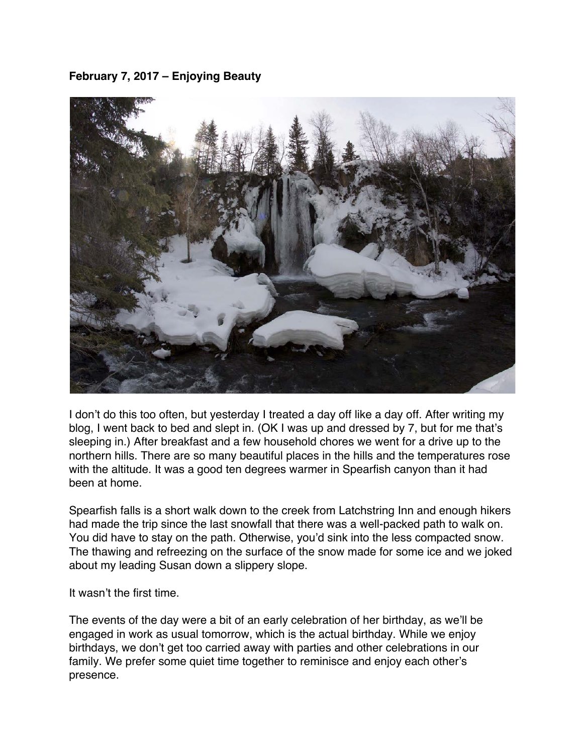<span id="page-14-0"></span>**February 7, 2017 – Enjoying Beauty**



I don't do this too often, but yesterday I treated a day off like a day off. After writing my blog, I went back to bed and slept in. (OK I was up and dressed by 7, but for me that's sleeping in.) After breakfast and a few household chores we went for a drive up to the northern hills. There are so many beautiful places in the hills and the temperatures rose with the altitude. It was a good ten degrees warmer in Spearfish canyon than it had been at home.

Spearfish falls is a short walk down to the creek from Latchstring Inn and enough hikers had made the trip since the last snowfall that there was a well-packed path to walk on. You did have to stay on the path. Otherwise, you'd sink into the less compacted snow. The thawing and refreezing on the surface of the snow made for some ice and we joked about my leading Susan down a slippery slope.

It wasn't the first time.

The events of the day were a bit of an early celebration of her birthday, as we'll be engaged in work as usual tomorrow, which is the actual birthday. While we enjoy birthdays, we don't get too carried away with parties and other celebrations in our family. We prefer some quiet time together to reminisce and enjoy each other's presence.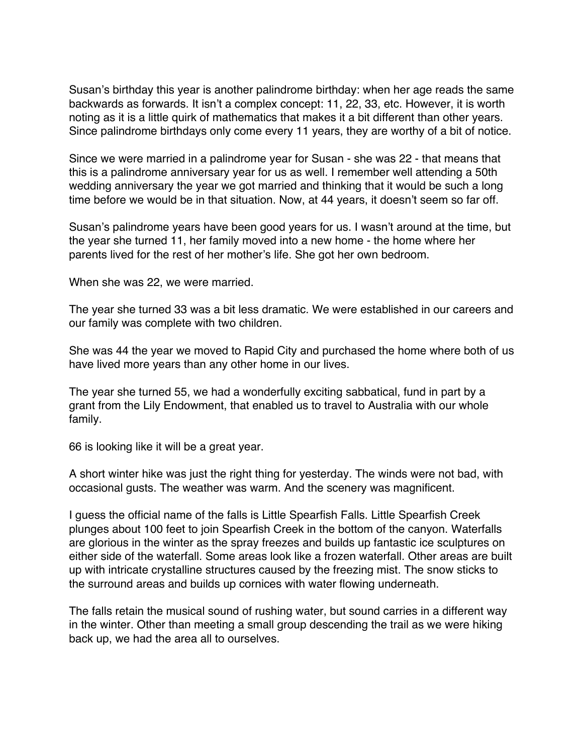Susan's birthday this year is another palindrome birthday: when her age reads the same backwards as forwards. It isn't a complex concept: 11, 22, 33, etc. However, it is worth noting as it is a little quirk of mathematics that makes it a bit different than other years. Since palindrome birthdays only come every 11 years, they are worthy of a bit of notice.

Since we were married in a palindrome year for Susan - she was 22 - that means that this is a palindrome anniversary year for us as well. I remember well attending a 50th wedding anniversary the year we got married and thinking that it would be such a long time before we would be in that situation. Now, at 44 years, it doesn't seem so far off.

Susan's palindrome years have been good years for us. I wasn't around at the time, but the year she turned 11, her family moved into a new home - the home where her parents lived for the rest of her mother's life. She got her own bedroom.

When she was 22, we were married.

The year she turned 33 was a bit less dramatic. We were established in our careers and our family was complete with two children.

She was 44 the year we moved to Rapid City and purchased the home where both of us have lived more years than any other home in our lives.

The year she turned 55, we had a wonderfully exciting sabbatical, fund in part by a grant from the Lily Endowment, that enabled us to travel to Australia with our whole family.

66 is looking like it will be a great year.

A short winter hike was just the right thing for yesterday. The winds were not bad, with occasional gusts. The weather was warm. And the scenery was magnificent.

I guess the official name of the falls is Little Spearfish Falls. Little Spearfish Creek plunges about 100 feet to join Spearfish Creek in the bottom of the canyon. Waterfalls are glorious in the winter as the spray freezes and builds up fantastic ice sculptures on either side of the waterfall. Some areas look like a frozen waterfall. Other areas are built up with intricate crystalline structures caused by the freezing mist. The snow sticks to the surround areas and builds up cornices with water flowing underneath.

The falls retain the musical sound of rushing water, but sound carries in a different way in the winter. Other than meeting a small group descending the trail as we were hiking back up, we had the area all to ourselves.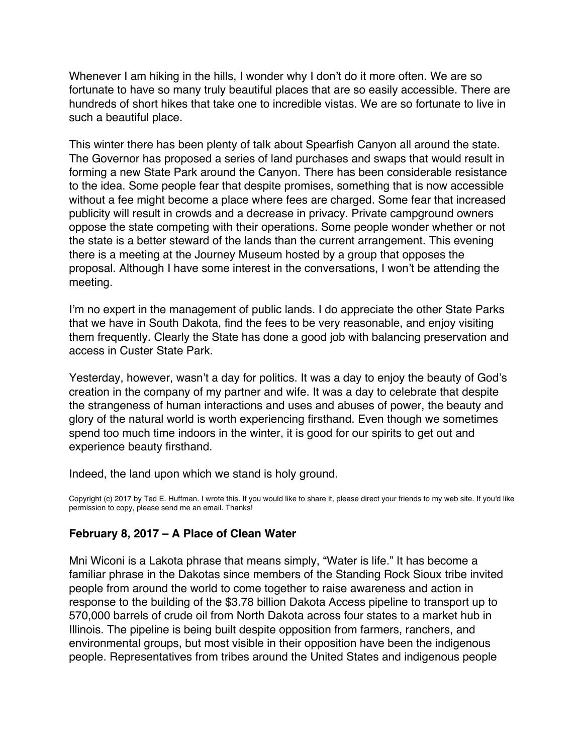<span id="page-16-0"></span>Whenever I am hiking in the hills, I wonder why I don't do it more often. We are so fortunate to have so many truly beautiful places that are so easily accessible. There are hundreds of short hikes that take one to incredible vistas. We are so fortunate to live in such a beautiful place.

This winter there has been plenty of talk about Spearfish Canyon all around the state. The Governor has proposed a series of land purchases and swaps that would result in forming a new State Park around the Canyon. There has been considerable resistance to the idea. Some people fear that despite promises, something that is now accessible without a fee might become a place where fees are charged. Some fear that increased publicity will result in crowds and a decrease in privacy. Private campground owners oppose the state competing with their operations. Some people wonder whether or not the state is a better steward of the lands than the current arrangement. This evening there is a meeting at the Journey Museum hosted by a group that opposes the proposal. Although I have some interest in the conversations, I won't be attending the meeting.

I'm no expert in the management of public lands. I do appreciate the other State Parks that we have in South Dakota, find the fees to be very reasonable, and enjoy visiting them frequently. Clearly the State has done a good job with balancing preservation and access in Custer State Park.

Yesterday, however, wasn't a day for politics. It was a day to enjoy the beauty of God's creation in the company of my partner and wife. It was a day to celebrate that despite the strangeness of human interactions and uses and abuses of power, the beauty and glory of the natural world is worth experiencing firsthand. Even though we sometimes spend too much time indoors in the winter, it is good for our spirits to get out and experience beauty firsthand.

Indeed, the land upon which we stand is holy ground.

Copyright (c) 2017 by Ted E. Huffman. I wrote this. If you would like to share it, please direct your friends to my web site. If you'd like permission to copy, please send me an email. Thanks!

#### **February 8, 2017 – A Place of Clean Water**

Mni Wiconi is a Lakota phrase that means simply, "Water is life." It has become a familiar phrase in the Dakotas since members of the Standing Rock Sioux tribe invited people from around the world to come together to raise awareness and action in response to the building of the \$3.78 billion Dakota Access pipeline to transport up to 570,000 barrels of crude oil from North Dakota across four states to a market hub in Illinois. The pipeline is being built despite opposition from farmers, ranchers, and environmental groups, but most visible in their opposition have been the indigenous people. Representatives from tribes around the United States and indigenous people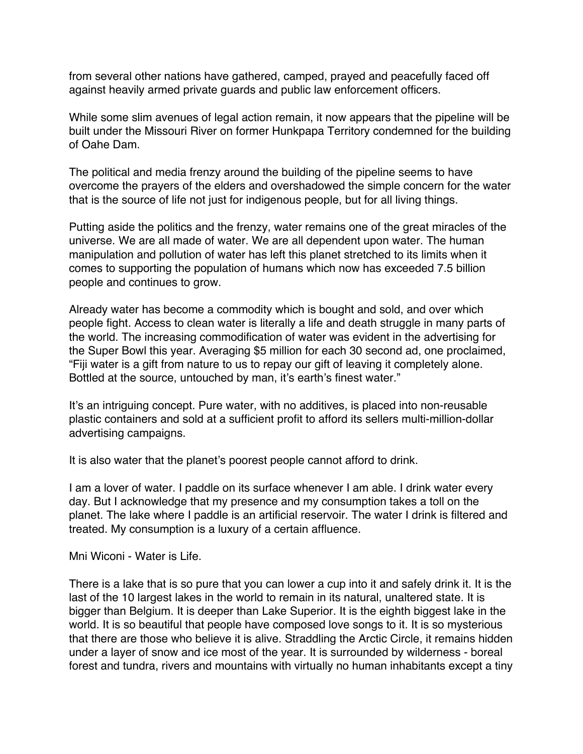from several other nations have gathered, camped, prayed and peacefully faced off against heavily armed private guards and public law enforcement officers.

While some slim avenues of legal action remain, it now appears that the pipeline will be built under the Missouri River on former Hunkpapa Territory condemned for the building of Oahe Dam.

The political and media frenzy around the building of the pipeline seems to have overcome the prayers of the elders and overshadowed the simple concern for the water that is the source of life not just for indigenous people, but for all living things.

Putting aside the politics and the frenzy, water remains one of the great miracles of the universe. We are all made of water. We are all dependent upon water. The human manipulation and pollution of water has left this planet stretched to its limits when it comes to supporting the population of humans which now has exceeded 7.5 billion people and continues to grow.

Already water has become a commodity which is bought and sold, and over which people fight. Access to clean water is literally a life and death struggle in many parts of the world. The increasing commodification of water was evident in the advertising for the Super Bowl this year. Averaging \$5 million for each 30 second ad, one proclaimed, "Fiji water is a gift from nature to us to repay our gift of leaving it completely alone. Bottled at the source, untouched by man, it's earth's finest water."

It's an intriguing concept. Pure water, with no additives, is placed into non-reusable plastic containers and sold at a sufficient profit to afford its sellers multi-million-dollar advertising campaigns.

It is also water that the planet's poorest people cannot afford to drink.

I am a lover of water. I paddle on its surface whenever I am able. I drink water every day. But I acknowledge that my presence and my consumption takes a toll on the planet. The lake where I paddle is an artificial reservoir. The water I drink is filtered and treated. My consumption is a luxury of a certain affluence.

Mni Wiconi - Water is Life.

There is a lake that is so pure that you can lower a cup into it and safely drink it. It is the last of the 10 largest lakes in the world to remain in its natural, unaltered state. It is bigger than Belgium. It is deeper than Lake Superior. It is the eighth biggest lake in the world. It is so beautiful that people have composed love songs to it. It is so mysterious that there are those who believe it is alive. Straddling the Arctic Circle, it remains hidden under a layer of snow and ice most of the year. It is surrounded by wilderness - boreal forest and tundra, rivers and mountains with virtually no human inhabitants except a tiny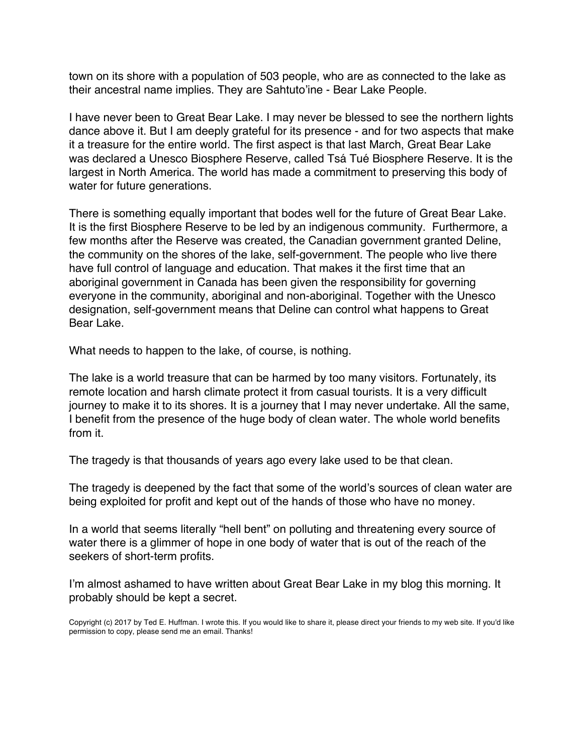town on its shore with a population of 503 people, who are as connected to the lake as their ancestral name implies. They are Sahtuto'ine - Bear Lake People.

I have never been to Great Bear Lake. I may never be blessed to see the northern lights dance above it. But I am deeply grateful for its presence - and for two aspects that make it a treasure for the entire world. The first aspect is that last March, Great Bear Lake was declared a Unesco Biosphere Reserve, called Tsá Tué Biosphere Reserve. It is the largest in North America. The world has made a commitment to preserving this body of water for future generations.

There is something equally important that bodes well for the future of Great Bear Lake. It is the first Biosphere Reserve to be led by an indigenous community. Furthermore, a few months after the Reserve was created, the Canadian government granted Deline, the community on the shores of the lake, self-government. The people who live there have full control of language and education. That makes it the first time that an aboriginal government in Canada has been given the responsibility for governing everyone in the community, aboriginal and non-aboriginal. Together with the Unesco designation, self-government means that Deline can control what happens to Great Bear Lake.

What needs to happen to the lake, of course, is nothing.

The lake is a world treasure that can be harmed by too many visitors. Fortunately, its remote location and harsh climate protect it from casual tourists. It is a very difficult journey to make it to its shores. It is a journey that I may never undertake. All the same, I benefit from the presence of the huge body of clean water. The whole world benefits from it.

The tragedy is that thousands of years ago every lake used to be that clean.

The tragedy is deepened by the fact that some of the world's sources of clean water are being exploited for profit and kept out of the hands of those who have no money.

In a world that seems literally "hell bent" on polluting and threatening every source of water there is a glimmer of hope in one body of water that is out of the reach of the seekers of short-term profits.

I'm almost ashamed to have written about Great Bear Lake in my blog this morning. It probably should be kept a secret.

Copyright (c) 2017 by Ted E. Huffman. I wrote this. If you would like to share it, please direct your friends to my web site. If you'd like permission to copy, please send me an email. Thanks!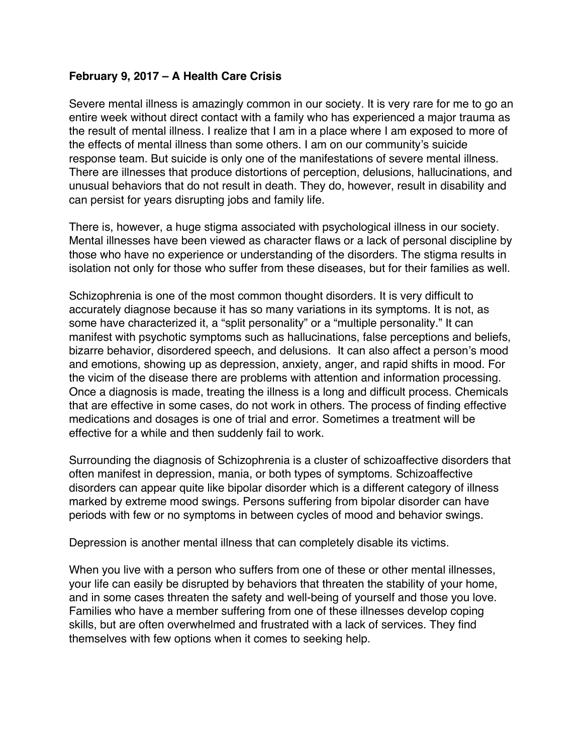## <span id="page-19-0"></span>**February 9, 2017 – A Health Care Crisis**

Severe mental illness is amazingly common in our society. It is very rare for me to go an entire week without direct contact with a family who has experienced a major trauma as the result of mental illness. I realize that I am in a place where I am exposed to more of the effects of mental illness than some others. I am on our community's suicide response team. But suicide is only one of the manifestations of severe mental illness. There are illnesses that produce distortions of perception, delusions, hallucinations, and unusual behaviors that do not result in death. They do, however, result in disability and can persist for years disrupting jobs and family life.

There is, however, a huge stigma associated with psychological illness in our society. Mental illnesses have been viewed as character flaws or a lack of personal discipline by those who have no experience or understanding of the disorders. The stigma results in isolation not only for those who suffer from these diseases, but for their families as well.

Schizophrenia is one of the most common thought disorders. It is very difficult to accurately diagnose because it has so many variations in its symptoms. It is not, as some have characterized it, a "split personality" or a "multiple personality." It can manifest with psychotic symptoms such as hallucinations, false perceptions and beliefs, bizarre behavior, disordered speech, and delusions. It can also affect a person's mood and emotions, showing up as depression, anxiety, anger, and rapid shifts in mood. For the vicim of the disease there are problems with attention and information processing. Once a diagnosis is made, treating the illness is a long and difficult process. Chemicals that are effective in some cases, do not work in others. The process of finding effective medications and dosages is one of trial and error. Sometimes a treatment will be effective for a while and then suddenly fail to work.

Surrounding the diagnosis of Schizophrenia is a cluster of schizoaffective disorders that often manifest in depression, mania, or both types of symptoms. Schizoaffective disorders can appear quite like bipolar disorder which is a different category of illness marked by extreme mood swings. Persons suffering from bipolar disorder can have periods with few or no symptoms in between cycles of mood and behavior swings.

Depression is another mental illness that can completely disable its victims.

When you live with a person who suffers from one of these or other mental illnesses, your life can easily be disrupted by behaviors that threaten the stability of your home, and in some cases threaten the safety and well-being of yourself and those you love. Families who have a member suffering from one of these illnesses develop coping skills, but are often overwhelmed and frustrated with a lack of services. They find themselves with few options when it comes to seeking help.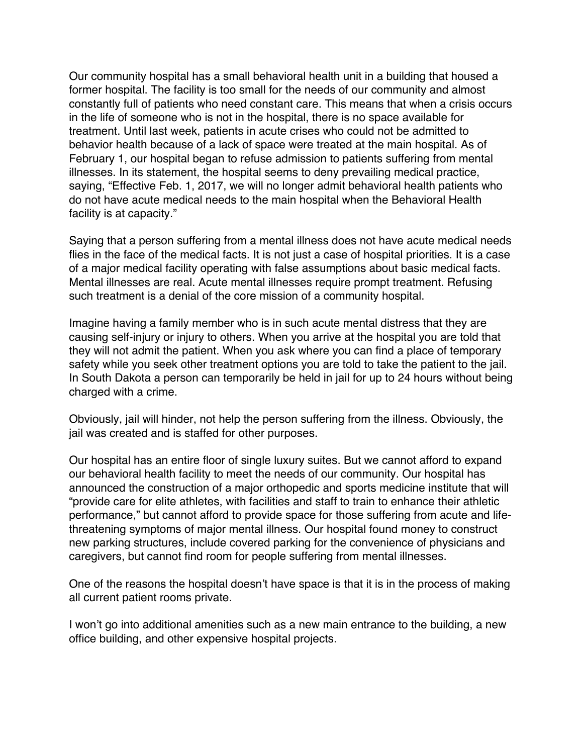Our community hospital has a small behavioral health unit in a building that housed a former hospital. The facility is too small for the needs of our community and almost constantly full of patients who need constant care. This means that when a crisis occurs in the life of someone who is not in the hospital, there is no space available for treatment. Until last week, patients in acute crises who could not be admitted to behavior health because of a lack of space were treated at the main hospital. As of February 1, our hospital began to refuse admission to patients suffering from mental illnesses. In its statement, the hospital seems to deny prevailing medical practice, saying, "Effective Feb. 1, 2017, we will no longer admit behavioral health patients who do not have acute medical needs to the main hospital when the Behavioral Health facility is at capacity."

Saying that a person suffering from a mental illness does not have acute medical needs flies in the face of the medical facts. It is not just a case of hospital priorities. It is a case of a major medical facility operating with false assumptions about basic medical facts. Mental illnesses are real. Acute mental illnesses require prompt treatment. Refusing such treatment is a denial of the core mission of a community hospital.

Imagine having a family member who is in such acute mental distress that they are causing self-injury or injury to others. When you arrive at the hospital you are told that they will not admit the patient. When you ask where you can find a place of temporary safety while you seek other treatment options you are told to take the patient to the jail. In South Dakota a person can temporarily be held in jail for up to 24 hours without being charged with a crime.

Obviously, jail will hinder, not help the person suffering from the illness. Obviously, the jail was created and is staffed for other purposes.

Our hospital has an entire floor of single luxury suites. But we cannot afford to expand our behavioral health facility to meet the needs of our community. Our hospital has announced the construction of a major orthopedic and sports medicine institute that will "provide care for elite athletes, with facilities and staff to train to enhance their athletic performance," but cannot afford to provide space for those suffering from acute and lifethreatening symptoms of major mental illness. Our hospital found money to construct new parking structures, include covered parking for the convenience of physicians and caregivers, but cannot find room for people suffering from mental illnesses.

One of the reasons the hospital doesn't have space is that it is in the process of making all current patient rooms private.

I won't go into additional amenities such as a new main entrance to the building, a new office building, and other expensive hospital projects.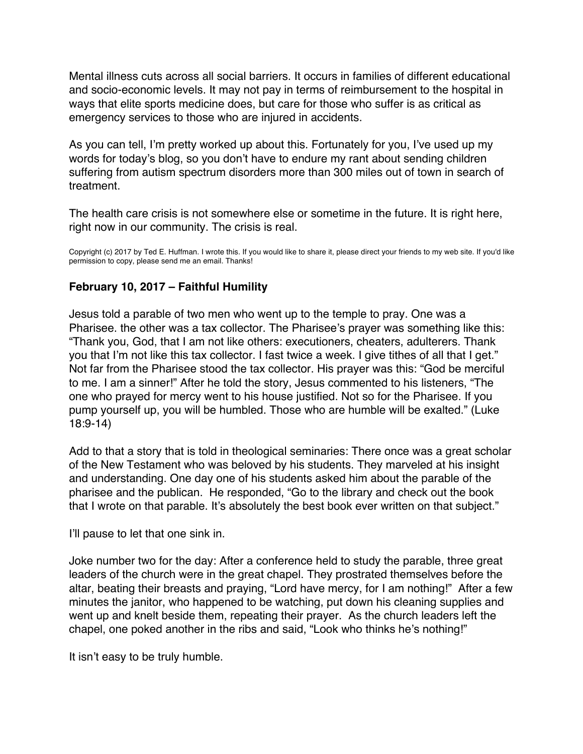<span id="page-21-0"></span>Mental illness cuts across all social barriers. It occurs in families of different educational and socio-economic levels. It may not pay in terms of reimbursement to the hospital in ways that elite sports medicine does, but care for those who suffer is as critical as emergency services to those who are injured in accidents.

As you can tell, I'm pretty worked up about this. Fortunately for you, I've used up my words for today's blog, so you don't have to endure my rant about sending children suffering from autism spectrum disorders more than 300 miles out of town in search of treatment.

The health care crisis is not somewhere else or sometime in the future. It is right here, right now in our community. The crisis is real.

Copyright (c) 2017 by Ted E. Huffman. I wrote this. If you would like to share it, please direct your friends to my web site. If you'd like permission to copy, please send me an email. Thanks!

# **February 10, 2017 – Faithful Humility**

Jesus told a parable of two men who went up to the temple to pray. One was a Pharisee. the other was a tax collector. The Pharisee's prayer was something like this: "Thank you, God, that I am not like others: executioners, cheaters, adulterers. Thank you that I'm not like this tax collector. I fast twice a week. I give tithes of all that I get." Not far from the Pharisee stood the tax collector. His prayer was this: "God be merciful to me. I am a sinner!" After he told the story, Jesus commented to his listeners, "The one who prayed for mercy went to his house justified. Not so for the Pharisee. If you pump yourself up, you will be humbled. Those who are humble will be exalted." (Luke 18:9-14)

Add to that a story that is told in theological seminaries: There once was a great scholar of the New Testament who was beloved by his students. They marveled at his insight and understanding. One day one of his students asked him about the parable of the pharisee and the publican. He responded, "Go to the library and check out the book that I wrote on that parable. It's absolutely the best book ever written on that subject."

I'll pause to let that one sink in.

Joke number two for the day: After a conference held to study the parable, three great leaders of the church were in the great chapel. They prostrated themselves before the altar, beating their breasts and praying, "Lord have mercy, for I am nothing!" After a few minutes the janitor, who happened to be watching, put down his cleaning supplies and went up and knelt beside them, repeating their prayer. As the church leaders left the chapel, one poked another in the ribs and said, "Look who thinks he's nothing!"

It isn't easy to be truly humble.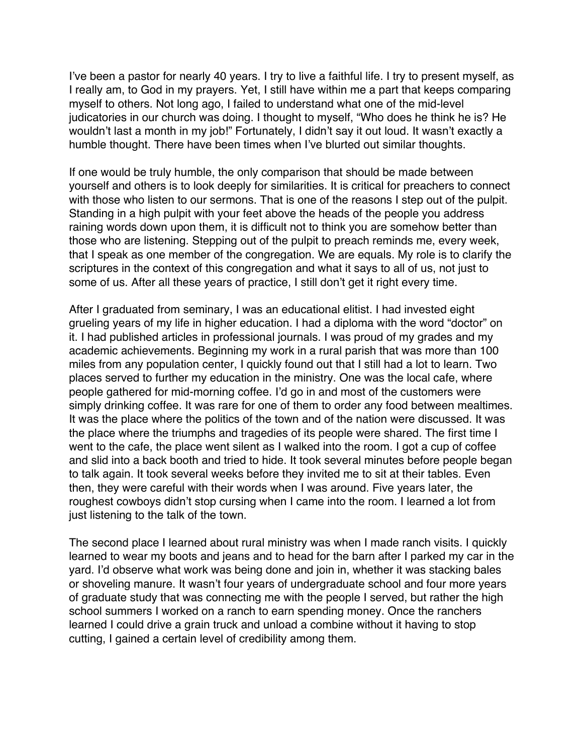I've been a pastor for nearly 40 years. I try to live a faithful life. I try to present myself, as I really am, to God in my prayers. Yet, I still have within me a part that keeps comparing myself to others. Not long ago, I failed to understand what one of the mid-level judicatories in our church was doing. I thought to myself, "Who does he think he is? He wouldn't last a month in my job!" Fortunately, I didn't say it out loud. It wasn't exactly a humble thought. There have been times when I've blurted out similar thoughts.

If one would be truly humble, the only comparison that should be made between yourself and others is to look deeply for similarities. It is critical for preachers to connect with those who listen to our sermons. That is one of the reasons I step out of the pulpit. Standing in a high pulpit with your feet above the heads of the people you address raining words down upon them, it is difficult not to think you are somehow better than those who are listening. Stepping out of the pulpit to preach reminds me, every week, that I speak as one member of the congregation. We are equals. My role is to clarify the scriptures in the context of this congregation and what it says to all of us, not just to some of us. After all these years of practice, I still don't get it right every time.

After I graduated from seminary, I was an educational elitist. I had invested eight grueling years of my life in higher education. I had a diploma with the word "doctor" on it. I had published articles in professional journals. I was proud of my grades and my academic achievements. Beginning my work in a rural parish that was more than 100 miles from any population center, I quickly found out that I still had a lot to learn. Two places served to further my education in the ministry. One was the local cafe, where people gathered for mid-morning coffee. I'd go in and most of the customers were simply drinking coffee. It was rare for one of them to order any food between mealtimes. It was the place where the politics of the town and of the nation were discussed. It was the place where the triumphs and tragedies of its people were shared. The first time I went to the cafe, the place went silent as I walked into the room. I got a cup of coffee and slid into a back booth and tried to hide. It took several minutes before people began to talk again. It took several weeks before they invited me to sit at their tables. Even then, they were careful with their words when I was around. Five years later, the roughest cowboys didn't stop cursing when I came into the room. I learned a lot from just listening to the talk of the town.

The second place I learned about rural ministry was when I made ranch visits. I quickly learned to wear my boots and jeans and to head for the barn after I parked my car in the yard. I'd observe what work was being done and join in, whether it was stacking bales or shoveling manure. It wasn't four years of undergraduate school and four more years of graduate study that was connecting me with the people I served, but rather the high school summers I worked on a ranch to earn spending money. Once the ranchers learned I could drive a grain truck and unload a combine without it having to stop cutting, I gained a certain level of credibility among them.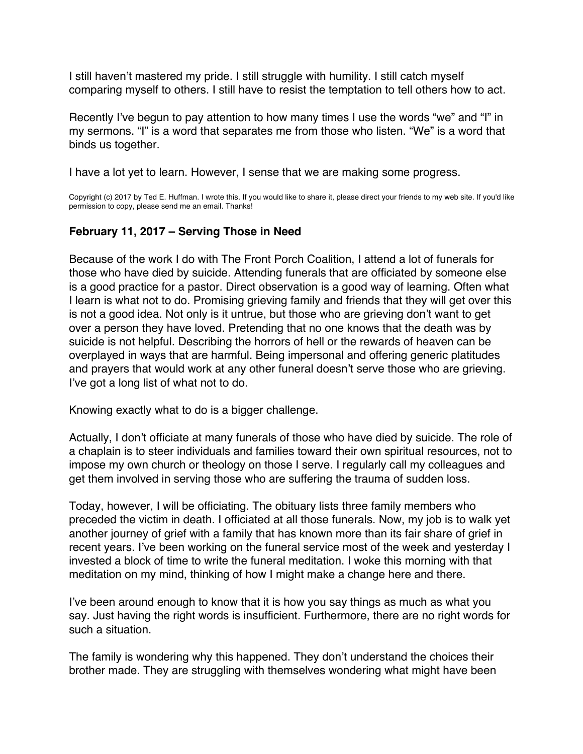<span id="page-23-0"></span>I still haven't mastered my pride. I still struggle with humility. I still catch myself comparing myself to others. I still have to resist the temptation to tell others how to act.

Recently I've begun to pay attention to how many times I use the words "we" and "I" in my sermons. "I" is a word that separates me from those who listen. "We" is a word that binds us together.

I have a lot yet to learn. However, I sense that we are making some progress.

Copyright (c) 2017 by Ted E. Huffman. I wrote this. If you would like to share it, please direct your friends to my web site. If you'd like permission to copy, please send me an email. Thanks!

# **February 11, 2017 – Serving Those in Need**

Because of the work I do with The Front Porch Coalition, I attend a lot of funerals for those who have died by suicide. Attending funerals that are officiated by someone else is a good practice for a pastor. Direct observation is a good way of learning. Often what I learn is what not to do. Promising grieving family and friends that they will get over this is not a good idea. Not only is it untrue, but those who are grieving don't want to get over a person they have loved. Pretending that no one knows that the death was by suicide is not helpful. Describing the horrors of hell or the rewards of heaven can be overplayed in ways that are harmful. Being impersonal and offering generic platitudes and prayers that would work at any other funeral doesn't serve those who are grieving. I've got a long list of what not to do.

Knowing exactly what to do is a bigger challenge.

Actually, I don't officiate at many funerals of those who have died by suicide. The role of a chaplain is to steer individuals and families toward their own spiritual resources, not to impose my own church or theology on those I serve. I regularly call my colleagues and get them involved in serving those who are suffering the trauma of sudden loss.

Today, however, I will be officiating. The obituary lists three family members who preceded the victim in death. I officiated at all those funerals. Now, my job is to walk yet another journey of grief with a family that has known more than its fair share of grief in recent years. I've been working on the funeral service most of the week and yesterday I invested a block of time to write the funeral meditation. I woke this morning with that meditation on my mind, thinking of how I might make a change here and there.

I've been around enough to know that it is how you say things as much as what you say. Just having the right words is insufficient. Furthermore, there are no right words for such a situation.

The family is wondering why this happened. They don't understand the choices their brother made. They are struggling with themselves wondering what might have been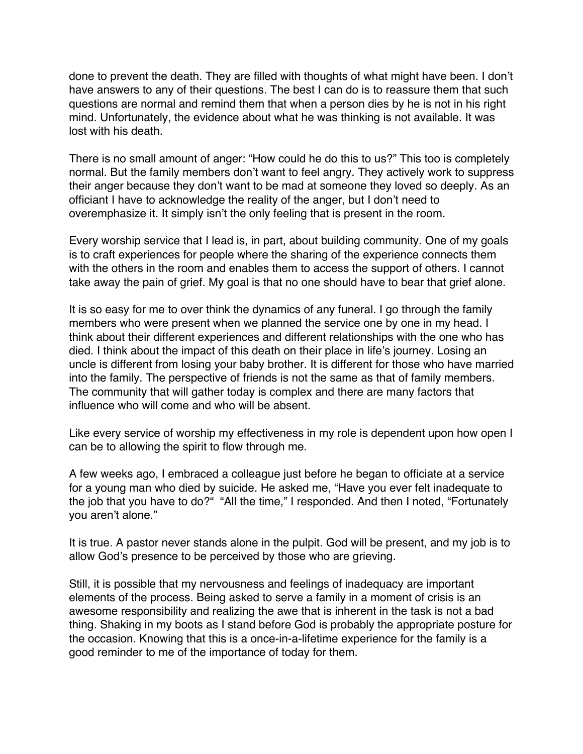done to prevent the death. They are filled with thoughts of what might have been. I don't have answers to any of their questions. The best I can do is to reassure them that such questions are normal and remind them that when a person dies by he is not in his right mind. Unfortunately, the evidence about what he was thinking is not available. It was lost with his death.

There is no small amount of anger: "How could he do this to us?" This too is completely normal. But the family members don't want to feel angry. They actively work to suppress their anger because they don't want to be mad at someone they loved so deeply. As an officiant I have to acknowledge the reality of the anger, but I don't need to overemphasize it. It simply isn't the only feeling that is present in the room.

Every worship service that I lead is, in part, about building community. One of my goals is to craft experiences for people where the sharing of the experience connects them with the others in the room and enables them to access the support of others. I cannot take away the pain of grief. My goal is that no one should have to bear that grief alone.

It is so easy for me to over think the dynamics of any funeral. I go through the family members who were present when we planned the service one by one in my head. I think about their different experiences and different relationships with the one who has died. I think about the impact of this death on their place in life's journey. Losing an uncle is different from losing your baby brother. It is different for those who have married into the family. The perspective of friends is not the same as that of family members. The community that will gather today is complex and there are many factors that influence who will come and who will be absent.

Like every service of worship my effectiveness in my role is dependent upon how open I can be to allowing the spirit to flow through me.

A few weeks ago, I embraced a colleague just before he began to officiate at a service for a young man who died by suicide. He asked me, "Have you ever felt inadequate to the job that you have to do?" "All the time," I responded. And then I noted, "Fortunately you aren't alone."

It is true. A pastor never stands alone in the pulpit. God will be present, and my job is to allow God's presence to be perceived by those who are grieving.

Still, it is possible that my nervousness and feelings of inadequacy are important elements of the process. Being asked to serve a family in a moment of crisis is an awesome responsibility and realizing the awe that is inherent in the task is not a bad thing. Shaking in my boots as I stand before God is probably the appropriate posture for the occasion. Knowing that this is a once-in-a-lifetime experience for the family is a good reminder to me of the importance of today for them.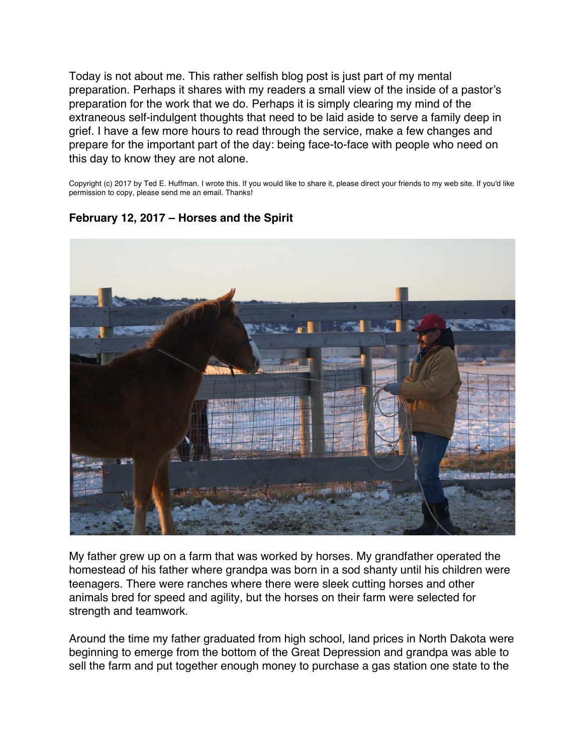<span id="page-25-0"></span>Today is not about me. This rather selfish blog post is just part of my mental preparation. Perhaps it shares with my readers a small view of the inside of a pastor's preparation for the work that we do. Perhaps it is simply clearing my mind of the extraneous self-indulgent thoughts that need to be laid aside to serve a family deep in grief. I have a few more hours to read through the service, make a few changes and prepare for the important part of the day: being face-to-face with people who need on this day to know they are not alone.

Copyright (c) 2017 by Ted E. Huffman. I wrote this. If you would like to share it, please direct your friends to my web site. If you'd like permission to copy, please send me an email. Thanks!



# **February 12, 2017 – Horses and the Spirit**

My father grew up on a farm that was worked by horses. My grandfather operated the homestead of his father where grandpa was born in a sod shanty until his children were teenagers. There were ranches where there were sleek cutting horses and other animals bred for speed and agility, but the horses on their farm were selected for strength and teamwork.

Around the time my father graduated from high school, land prices in North Dakota were beginning to emerge from the bottom of the Great Depression and grandpa was able to sell the farm and put together enough money to purchase a gas station one state to the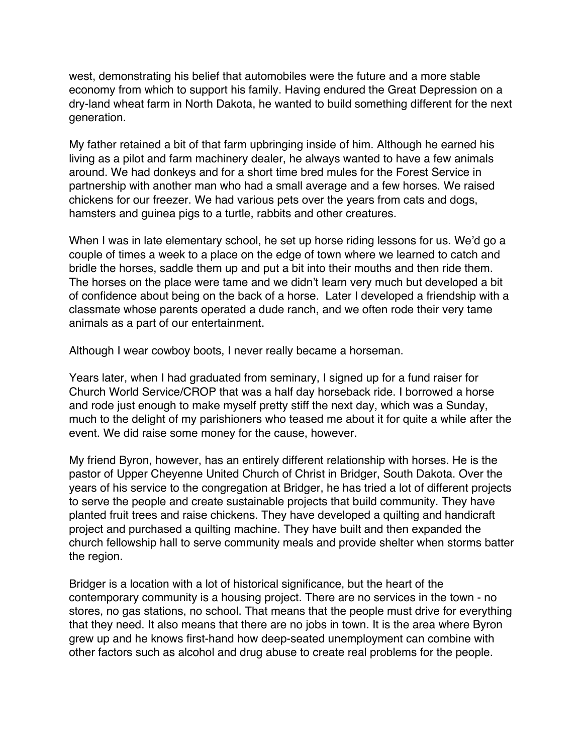west, demonstrating his belief that automobiles were the future and a more stable economy from which to support his family. Having endured the Great Depression on a dry-land wheat farm in North Dakota, he wanted to build something different for the next generation.

My father retained a bit of that farm upbringing inside of him. Although he earned his living as a pilot and farm machinery dealer, he always wanted to have a few animals around. We had donkeys and for a short time bred mules for the Forest Service in partnership with another man who had a small average and a few horses. We raised chickens for our freezer. We had various pets over the years from cats and dogs, hamsters and guinea pigs to a turtle, rabbits and other creatures.

When I was in late elementary school, he set up horse riding lessons for us. We'd go a couple of times a week to a place on the edge of town where we learned to catch and bridle the horses, saddle them up and put a bit into their mouths and then ride them. The horses on the place were tame and we didn't learn very much but developed a bit of confidence about being on the back of a horse. Later I developed a friendship with a classmate whose parents operated a dude ranch, and we often rode their very tame animals as a part of our entertainment.

Although I wear cowboy boots, I never really became a horseman.

Years later, when I had graduated from seminary, I signed up for a fund raiser for Church World Service/CROP that was a half day horseback ride. I borrowed a horse and rode just enough to make myself pretty stiff the next day, which was a Sunday, much to the delight of my parishioners who teased me about it for quite a while after the event. We did raise some money for the cause, however.

My friend Byron, however, has an entirely different relationship with horses. He is the pastor of Upper Cheyenne United Church of Christ in Bridger, South Dakota. Over the years of his service to the congregation at Bridger, he has tried a lot of different projects to serve the people and create sustainable projects that build community. They have planted fruit trees and raise chickens. They have developed a quilting and handicraft project and purchased a quilting machine. They have built and then expanded the church fellowship hall to serve community meals and provide shelter when storms batter the region.

Bridger is a location with a lot of historical significance, but the heart of the contemporary community is a housing project. There are no services in the town - no stores, no gas stations, no school. That means that the people must drive for everything that they need. It also means that there are no jobs in town. It is the area where Byron grew up and he knows first-hand how deep-seated unemployment can combine with other factors such as alcohol and drug abuse to create real problems for the people.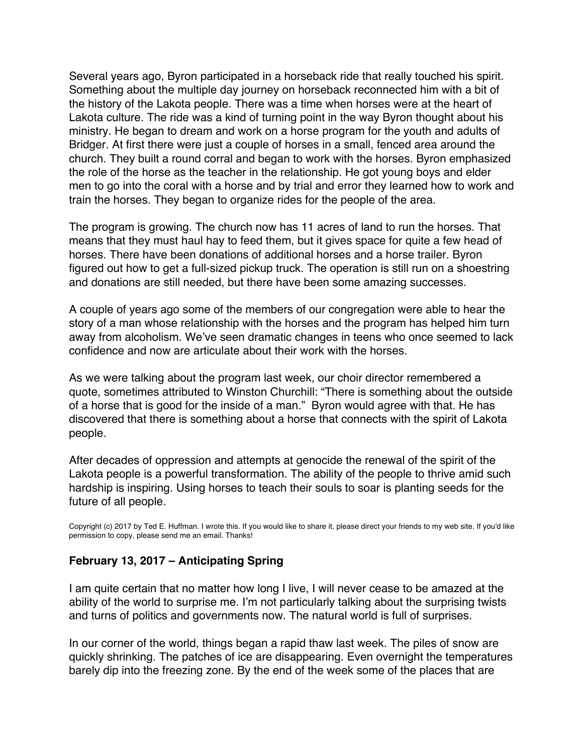<span id="page-27-0"></span>Several years ago, Byron participated in a horseback ride that really touched his spirit. Something about the multiple day journey on horseback reconnected him with a bit of the history of the Lakota people. There was a time when horses were at the heart of Lakota culture. The ride was a kind of turning point in the way Byron thought about his ministry. He began to dream and work on a horse program for the youth and adults of Bridger. At first there were just a couple of horses in a small, fenced area around the church. They built a round corral and began to work with the horses. Byron emphasized the role of the horse as the teacher in the relationship. He got young boys and elder men to go into the coral with a horse and by trial and error they learned how to work and train the horses. They began to organize rides for the people of the area.

The program is growing. The church now has 11 acres of land to run the horses. That means that they must haul hay to feed them, but it gives space for quite a few head of horses. There have been donations of additional horses and a horse trailer. Byron figured out how to get a full-sized pickup truck. The operation is still run on a shoestring and donations are still needed, but there have been some amazing successes.

A couple of years ago some of the members of our congregation were able to hear the story of a man whose relationship with the horses and the program has helped him turn away from alcoholism. We've seen dramatic changes in teens who once seemed to lack confidence and now are articulate about their work with the horses.

As we were talking about the program last week, our choir director remembered a quote, sometimes attributed to Winston Churchill: "There is something about the outside of a horse that is good for the inside of a man." Byron would agree with that. He has discovered that there is something about a horse that connects with the spirit of Lakota people.

After decades of oppression and attempts at genocide the renewal of the spirit of the Lakota people is a powerful transformation. The ability of the people to thrive amid such hardship is inspiring. Using horses to teach their souls to soar is planting seeds for the future of all people.

Copyright (c) 2017 by Ted E. Huffman. I wrote this. If you would like to share it, please direct your friends to my web site. If you'd like permission to copy, please send me an email. Thanks!

# **February 13, 2017 – Anticipating Spring**

I am quite certain that no matter how long I live, I will never cease to be amazed at the ability of the world to surprise me. I'm not particularly talking about the surprising twists and turns of politics and governments now. The natural world is full of surprises.

In our corner of the world, things began a rapid thaw last week. The piles of snow are quickly shrinking. The patches of ice are disappearing. Even overnight the temperatures barely dip into the freezing zone. By the end of the week some of the places that are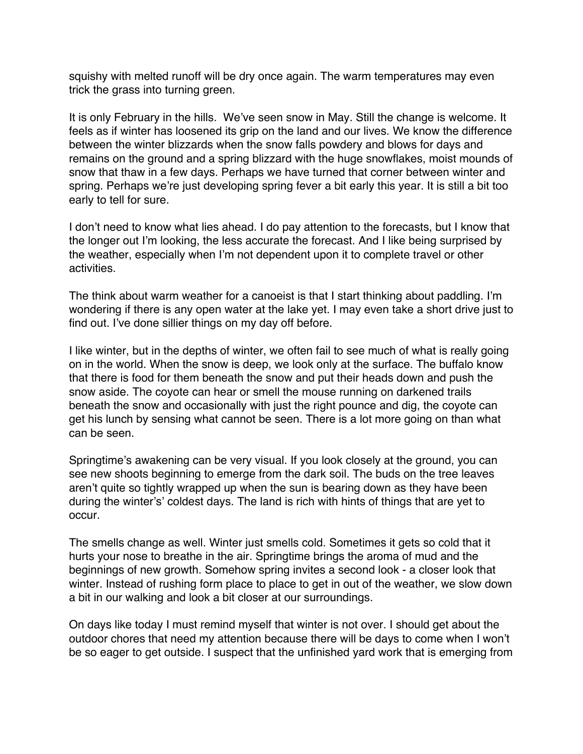squishy with melted runoff will be dry once again. The warm temperatures may even trick the grass into turning green.

It is only February in the hills. We've seen snow in May. Still the change is welcome. It feels as if winter has loosened its grip on the land and our lives. We know the difference between the winter blizzards when the snow falls powdery and blows for days and remains on the ground and a spring blizzard with the huge snowflakes, moist mounds of snow that thaw in a few days. Perhaps we have turned that corner between winter and spring. Perhaps we're just developing spring fever a bit early this year. It is still a bit too early to tell for sure.

I don't need to know what lies ahead. I do pay attention to the forecasts, but I know that the longer out I'm looking, the less accurate the forecast. And I like being surprised by the weather, especially when I'm not dependent upon it to complete travel or other activities.

The think about warm weather for a canoeist is that I start thinking about paddling. I'm wondering if there is any open water at the lake yet. I may even take a short drive just to find out. I've done sillier things on my day off before.

I like winter, but in the depths of winter, we often fail to see much of what is really going on in the world. When the snow is deep, we look only at the surface. The buffalo know that there is food for them beneath the snow and put their heads down and push the snow aside. The coyote can hear or smell the mouse running on darkened trails beneath the snow and occasionally with just the right pounce and dig, the coyote can get his lunch by sensing what cannot be seen. There is a lot more going on than what can be seen.

Springtime's awakening can be very visual. If you look closely at the ground, you can see new shoots beginning to emerge from the dark soil. The buds on the tree leaves aren't quite so tightly wrapped up when the sun is bearing down as they have been during the winter's' coldest days. The land is rich with hints of things that are yet to occur.

The smells change as well. Winter just smells cold. Sometimes it gets so cold that it hurts your nose to breathe in the air. Springtime brings the aroma of mud and the beginnings of new growth. Somehow spring invites a second look - a closer look that winter. Instead of rushing form place to place to get in out of the weather, we slow down a bit in our walking and look a bit closer at our surroundings.

On days like today I must remind myself that winter is not over. I should get about the outdoor chores that need my attention because there will be days to come when I won't be so eager to get outside. I suspect that the unfinished yard work that is emerging from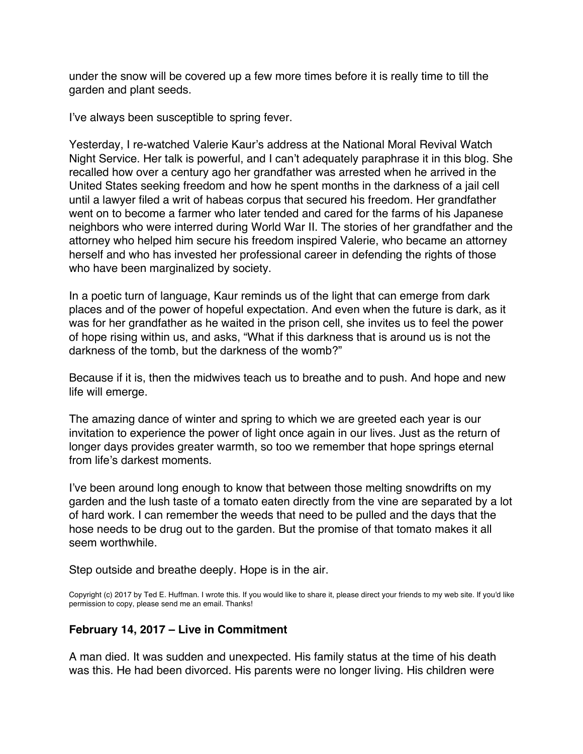under the snow will be covered up a few more times before it is really time to till the garden and plant seeds.

I've always been susceptible to spring fever.

Yesterday, I re-watched Valerie Kaur's address at the National Moral Revival Watch Night Service. Her talk is powerful, and I can't adequately paraphrase it in this blog. She recalled how over a century ago her grandfather was arrested when he arrived in the United States seeking freedom and how he spent months in the darkness of a jail cell until a lawyer filed a writ of habeas corpus that secured his freedom. Her grandfather went on to become a farmer who later tended and cared for the farms of his Japanese neighbors who were interred during World War II. The stories of her grandfather and the attorney who helped him secure his freedom inspired Valerie, who became an attorney herself and who has invested her professional career in defending the rights of those who have been marginalized by society.

In a poetic turn of language, Kaur reminds us of the light that can emerge from dark places and of the power of hopeful expectation. And even when the future is dark, as it was for her grandfather as he waited in the prison cell, she invites us to feel the power of hope rising within us, and asks, "What if this darkness that is around us is not the darkness of the tomb, but the darkness of the womb?"

Because if it is, then the midwives teach us to breathe and to push. And hope and new life will emerge.

The amazing dance of winter and spring to which we are greeted each year is our invitation to experience the power of light once again in our lives. Just as the return of longer days provides greater warmth, so too we remember that hope springs eternal from life's darkest moments.

I've been around long enough to know that between those melting snowdrifts on my garden and the lush taste of a tomato eaten directly from the vine are separated by a lot of hard work. I can remember the weeds that need to be pulled and the days that the hose needs to be drug out to the garden. But the promise of that tomato makes it all seem worthwhile.

Step outside and breathe deeply. Hope is in the air.

Copyright (c) 2017 by Ted E. Huffman. I wrote this. If you would like to share it, please direct your friends to my web site. If you'd like permission to copy, please send me an email. Thanks!

#### **February 14, 2017 – Live in Commitment**

A man died. It was sudden and unexpected. His family status at the time of his death was this. He had been divorced. His parents were no longer living. His children were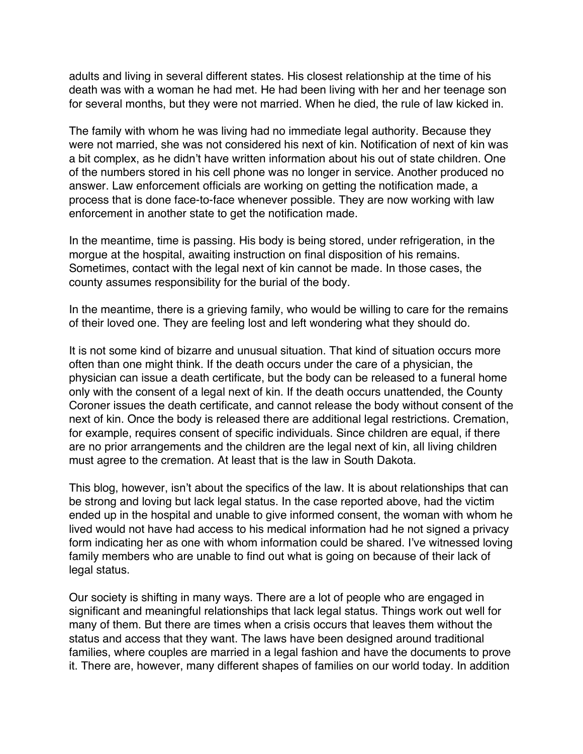<span id="page-30-0"></span>adults and living in several different states. His closest relationship at the time of his death was with a woman he had met. He had been living with her and her teenage son for several months, but they were not married. When he died, the rule of law kicked in.

The family with whom he was living had no immediate legal authority. Because they were not married, she was not considered his next of kin. Notification of next of kin was a bit complex, as he didn't have written information about his out of state children. One of the numbers stored in his cell phone was no longer in service. Another produced no answer. Law enforcement officials are working on getting the notification made, a process that is done face-to-face whenever possible. They are now working with law enforcement in another state to get the notification made.

In the meantime, time is passing. His body is being stored, under refrigeration, in the morgue at the hospital, awaiting instruction on final disposition of his remains. Sometimes, contact with the legal next of kin cannot be made. In those cases, the county assumes responsibility for the burial of the body.

In the meantime, there is a grieving family, who would be willing to care for the remains of their loved one. They are feeling lost and left wondering what they should do.

It is not some kind of bizarre and unusual situation. That kind of situation occurs more often than one might think. If the death occurs under the care of a physician, the physician can issue a death certificate, but the body can be released to a funeral home only with the consent of a legal next of kin. If the death occurs unattended, the County Coroner issues the death certificate, and cannot release the body without consent of the next of kin. Once the body is released there are additional legal restrictions. Cremation, for example, requires consent of specific individuals. Since children are equal, if there are no prior arrangements and the children are the legal next of kin, all living children must agree to the cremation. At least that is the law in South Dakota.

This blog, however, isn't about the specifics of the law. It is about relationships that can be strong and loving but lack legal status. In the case reported above, had the victim ended up in the hospital and unable to give informed consent, the woman with whom he lived would not have had access to his medical information had he not signed a privacy form indicating her as one with whom information could be shared. I've witnessed loving family members who are unable to find out what is going on because of their lack of legal status.

Our society is shifting in many ways. There are a lot of people who are engaged in significant and meaningful relationships that lack legal status. Things work out well for many of them. But there are times when a crisis occurs that leaves them without the status and access that they want. The laws have been designed around traditional families, where couples are married in a legal fashion and have the documents to prove it. There are, however, many different shapes of families on our world today. In addition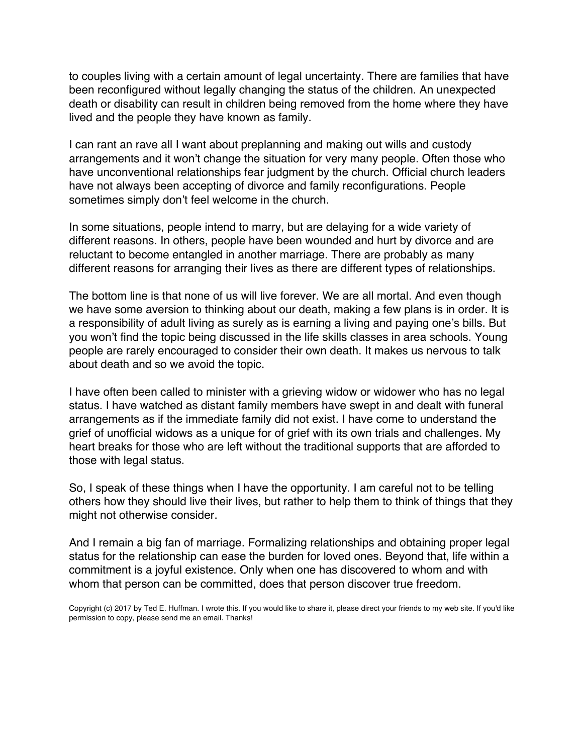to couples living with a certain amount of legal uncertainty. There are families that have been reconfigured without legally changing the status of the children. An unexpected death or disability can result in children being removed from the home where they have lived and the people they have known as family.

I can rant an rave all I want about preplanning and making out wills and custody arrangements and it won't change the situation for very many people. Often those who have unconventional relationships fear judgment by the church. Official church leaders have not always been accepting of divorce and family reconfigurations. People sometimes simply don't feel welcome in the church.

In some situations, people intend to marry, but are delaying for a wide variety of different reasons. In others, people have been wounded and hurt by divorce and are reluctant to become entangled in another marriage. There are probably as many different reasons for arranging their lives as there are different types of relationships.

The bottom line is that none of us will live forever. We are all mortal. And even though we have some aversion to thinking about our death, making a few plans is in order. It is a responsibility of adult living as surely as is earning a living and paying one's bills. But you won't find the topic being discussed in the life skills classes in area schools. Young people are rarely encouraged to consider their own death. It makes us nervous to talk about death and so we avoid the topic.

I have often been called to minister with a grieving widow or widower who has no legal status. I have watched as distant family members have swept in and dealt with funeral arrangements as if the immediate family did not exist. I have come to understand the grief of unofficial widows as a unique for of grief with its own trials and challenges. My heart breaks for those who are left without the traditional supports that are afforded to those with legal status.

So, I speak of these things when I have the opportunity. I am careful not to be telling others how they should live their lives, but rather to help them to think of things that they might not otherwise consider.

And I remain a big fan of marriage. Formalizing relationships and obtaining proper legal status for the relationship can ease the burden for loved ones. Beyond that, life within a commitment is a joyful existence. Only when one has discovered to whom and with whom that person can be committed, does that person discover true freedom.

Copyright (c) 2017 by Ted E. Huffman. I wrote this. If you would like to share it, please direct your friends to my web site. If you'd like permission to copy, please send me an email. Thanks!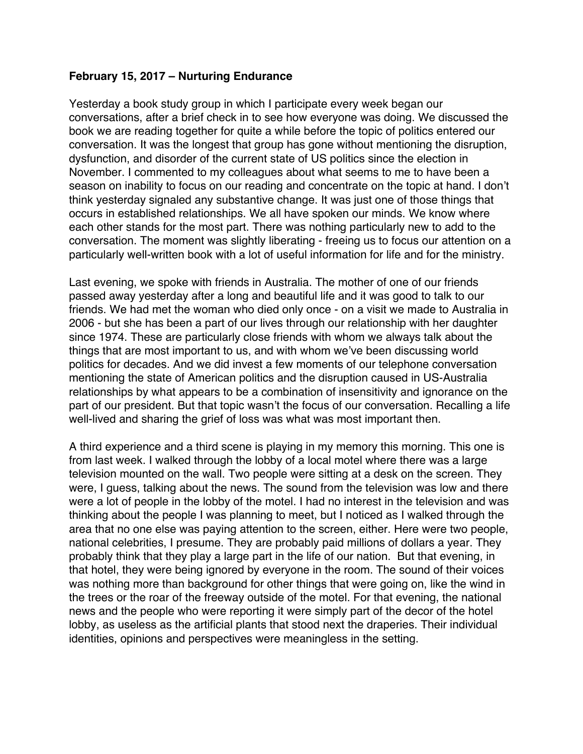#### <span id="page-32-0"></span>**February 15, 2017 – Nurturing Endurance**

Yesterday a book study group in which I participate every week began our conversations, after a brief check in to see how everyone was doing. We discussed the book we are reading together for quite a while before the topic of politics entered our conversation. It was the longest that group has gone without mentioning the disruption, dysfunction, and disorder of the current state of US politics since the election in November. I commented to my colleagues about what seems to me to have been a season on inability to focus on our reading and concentrate on the topic at hand. I don't think yesterday signaled any substantive change. It was just one of those things that occurs in established relationships. We all have spoken our minds. We know where each other stands for the most part. There was nothing particularly new to add to the conversation. The moment was slightly liberating - freeing us to focus our attention on a particularly well-written book with a lot of useful information for life and for the ministry.

Last evening, we spoke with friends in Australia. The mother of one of our friends passed away yesterday after a long and beautiful life and it was good to talk to our friends. We had met the woman who died only once - on a visit we made to Australia in 2006 - but she has been a part of our lives through our relationship with her daughter since 1974. These are particularly close friends with whom we always talk about the things that are most important to us, and with whom we've been discussing world politics for decades. And we did invest a few moments of our telephone conversation mentioning the state of American politics and the disruption caused in US-Australia relationships by what appears to be a combination of insensitivity and ignorance on the part of our president. But that topic wasn't the focus of our conversation. Recalling a life well-lived and sharing the grief of loss was what was most important then.

A third experience and a third scene is playing in my memory this morning. This one is from last week. I walked through the lobby of a local motel where there was a large television mounted on the wall. Two people were sitting at a desk on the screen. They were, I guess, talking about the news. The sound from the television was low and there were a lot of people in the lobby of the motel. I had no interest in the television and was thinking about the people I was planning to meet, but I noticed as I walked through the area that no one else was paying attention to the screen, either. Here were two people, national celebrities, I presume. They are probably paid millions of dollars a year. They probably think that they play a large part in the life of our nation. But that evening, in that hotel, they were being ignored by everyone in the room. The sound of their voices was nothing more than background for other things that were going on, like the wind in the trees or the roar of the freeway outside of the motel. For that evening, the national news and the people who were reporting it were simply part of the decor of the hotel lobby, as useless as the artificial plants that stood next the draperies. Their individual identities, opinions and perspectives were meaningless in the setting.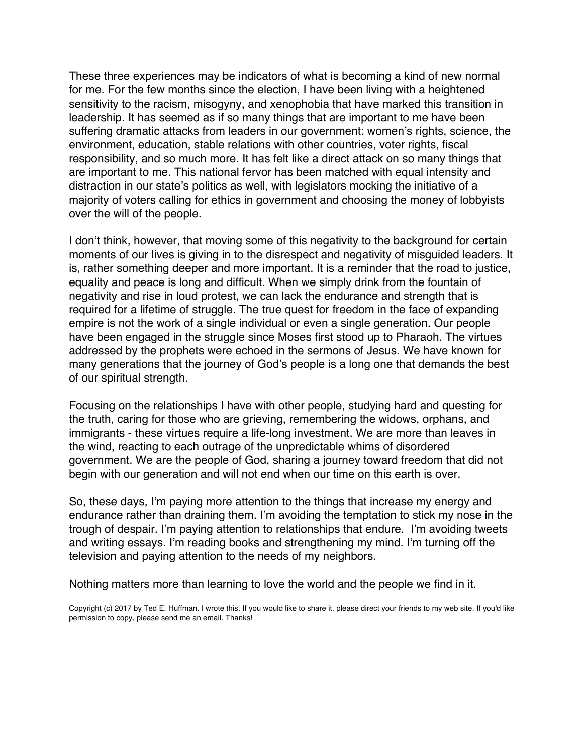These three experiences may be indicators of what is becoming a kind of new normal for me. For the few months since the election, I have been living with a heightened sensitivity to the racism, misogyny, and xenophobia that have marked this transition in leadership. It has seemed as if so many things that are important to me have been suffering dramatic attacks from leaders in our government: women's rights, science, the environment, education, stable relations with other countries, voter rights, fiscal responsibility, and so much more. It has felt like a direct attack on so many things that are important to me. This national fervor has been matched with equal intensity and distraction in our state's politics as well, with legislators mocking the initiative of a majority of voters calling for ethics in government and choosing the money of lobbyists over the will of the people.

I don't think, however, that moving some of this negativity to the background for certain moments of our lives is giving in to the disrespect and negativity of misguided leaders. It is, rather something deeper and more important. It is a reminder that the road to justice, equality and peace is long and difficult. When we simply drink from the fountain of negativity and rise in loud protest, we can lack the endurance and strength that is required for a lifetime of struggle. The true quest for freedom in the face of expanding empire is not the work of a single individual or even a single generation. Our people have been engaged in the struggle since Moses first stood up to Pharaoh. The virtues addressed by the prophets were echoed in the sermons of Jesus. We have known for many generations that the journey of God's people is a long one that demands the best of our spiritual strength.

Focusing on the relationships I have with other people, studying hard and questing for the truth, caring for those who are grieving, remembering the widows, orphans, and immigrants - these virtues require a life-long investment. We are more than leaves in the wind, reacting to each outrage of the unpredictable whims of disordered government. We are the people of God, sharing a journey toward freedom that did not begin with our generation and will not end when our time on this earth is over.

So, these days, I'm paying more attention to the things that increase my energy and endurance rather than draining them. I'm avoiding the temptation to stick my nose in the trough of despair. I'm paying attention to relationships that endure. I'm avoiding tweets and writing essays. I'm reading books and strengthening my mind. I'm turning off the television and paying attention to the needs of my neighbors.

Nothing matters more than learning to love the world and the people we find in it.

Copyright (c) 2017 by Ted E. Huffman. I wrote this. If you would like to share it, please direct your friends to my web site. If you'd like permission to copy, please send me an email. Thanks!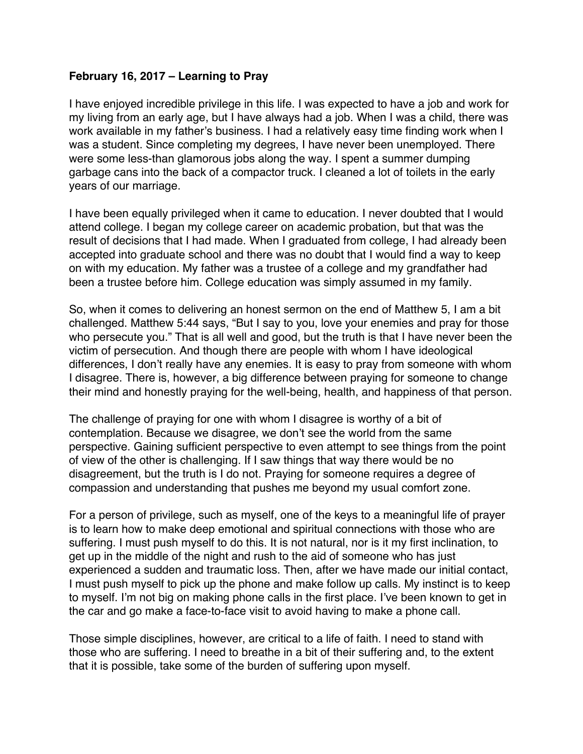#### <span id="page-34-0"></span>**February 16, 2017 – Learning to Pray**

I have enjoyed incredible privilege in this life. I was expected to have a job and work for my living from an early age, but I have always had a job. When I was a child, there was work available in my father's business. I had a relatively easy time finding work when I was a student. Since completing my degrees, I have never been unemployed. There were some less-than glamorous jobs along the way. I spent a summer dumping garbage cans into the back of a compactor truck. I cleaned a lot of toilets in the early years of our marriage.

I have been equally privileged when it came to education. I never doubted that I would attend college. I began my college career on academic probation, but that was the result of decisions that I had made. When I graduated from college, I had already been accepted into graduate school and there was no doubt that I would find a way to keep on with my education. My father was a trustee of a college and my grandfather had been a trustee before him. College education was simply assumed in my family.

So, when it comes to delivering an honest sermon on the end of Matthew 5, I am a bit challenged. Matthew 5:44 says, "But I say to you, love your enemies and pray for those who persecute you." That is all well and good, but the truth is that I have never been the victim of persecution. And though there are people with whom I have ideological differences, I don't really have any enemies. It is easy to pray from someone with whom I disagree. There is, however, a big difference between praying for someone to change their mind and honestly praying for the well-being, health, and happiness of that person.

The challenge of praying for one with whom I disagree is worthy of a bit of contemplation. Because we disagree, we don't see the world from the same perspective. Gaining sufficient perspective to even attempt to see things from the point of view of the other is challenging. If I saw things that way there would be no disagreement, but the truth is I do not. Praying for someone requires a degree of compassion and understanding that pushes me beyond my usual comfort zone.

For a person of privilege, such as myself, one of the keys to a meaningful life of prayer is to learn how to make deep emotional and spiritual connections with those who are suffering. I must push myself to do this. It is not natural, nor is it my first inclination, to get up in the middle of the night and rush to the aid of someone who has just experienced a sudden and traumatic loss. Then, after we have made our initial contact, I must push myself to pick up the phone and make follow up calls. My instinct is to keep to myself. I'm not big on making phone calls in the first place. I've been known to get in the car and go make a face-to-face visit to avoid having to make a phone call.

Those simple disciplines, however, are critical to a life of faith. I need to stand with those who are suffering. I need to breathe in a bit of their suffering and, to the extent that it is possible, take some of the burden of suffering upon myself.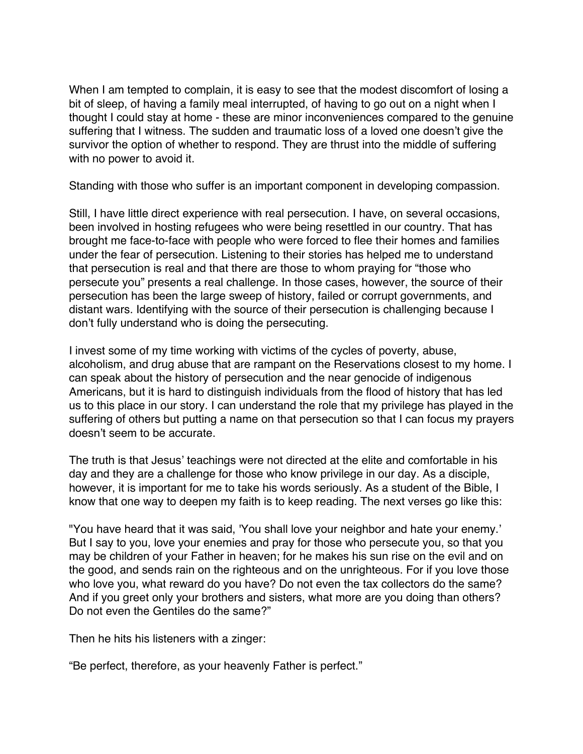When I am tempted to complain, it is easy to see that the modest discomfort of losing a bit of sleep, of having a family meal interrupted, of having to go out on a night when I thought I could stay at home - these are minor inconveniences compared to the genuine suffering that I witness. The sudden and traumatic loss of a loved one doesn't give the survivor the option of whether to respond. They are thrust into the middle of suffering with no power to avoid it.

Standing with those who suffer is an important component in developing compassion.

Still, I have little direct experience with real persecution. I have, on several occasions, been involved in hosting refugees who were being resettled in our country. That has brought me face-to-face with people who were forced to flee their homes and families under the fear of persecution. Listening to their stories has helped me to understand that persecution is real and that there are those to whom praying for "those who persecute you" presents a real challenge. In those cases, however, the source of their persecution has been the large sweep of history, failed or corrupt governments, and distant wars. Identifying with the source of their persecution is challenging because I don't fully understand who is doing the persecuting.

I invest some of my time working with victims of the cycles of poverty, abuse, alcoholism, and drug abuse that are rampant on the Reservations closest to my home. I can speak about the history of persecution and the near genocide of indigenous Americans, but it is hard to distinguish individuals from the flood of history that has led us to this place in our story. I can understand the role that my privilege has played in the suffering of others but putting a name on that persecution so that I can focus my prayers doesn't seem to be accurate.

The truth is that Jesus' teachings were not directed at the elite and comfortable in his day and they are a challenge for those who know privilege in our day. As a disciple, however, it is important for me to take his words seriously. As a student of the Bible, I know that one way to deepen my faith is to keep reading. The next verses go like this:

"You have heard that it was said, 'You shall love your neighbor and hate your enemy.' But I say to you, love your enemies and pray for those who persecute you, so that you may be children of your Father in heaven; for he makes his sun rise on the evil and on the good, and sends rain on the righteous and on the unrighteous. For if you love those who love you, what reward do you have? Do not even the tax collectors do the same? And if you greet only your brothers and sisters, what more are you doing than others? Do not even the Gentiles do the same?"

Then he hits his listeners with a zinger:

"Be perfect, therefore, as your heavenly Father is perfect."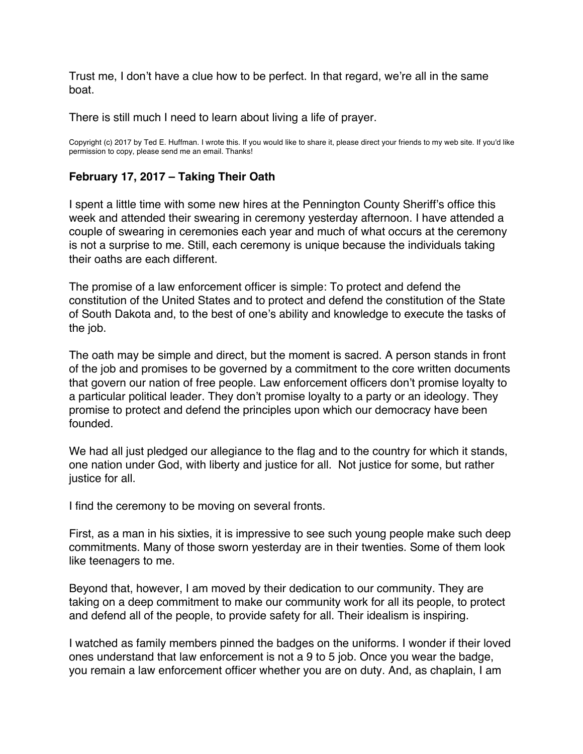Trust me, I don't have a clue how to be perfect. In that regard, we're all in the same boat.

There is still much I need to learn about living a life of prayer.

Copyright (c) 2017 by Ted E. Huffman. I wrote this. If you would like to share it, please direct your friends to my web site. If you'd like permission to copy, please send me an email. Thanks!

#### **February 17, 2017 – Taking Their Oath**

I spent a little time with some new hires at the Pennington County Sheriff's office this week and attended their swearing in ceremony yesterday afternoon. I have attended a couple of swearing in ceremonies each year and much of what occurs at the ceremony is not a surprise to me. Still, each ceremony is unique because the individuals taking their oaths are each different.

The promise of a law enforcement officer is simple: To protect and defend the constitution of the United States and to protect and defend the constitution of the State of South Dakota and, to the best of one's ability and knowledge to execute the tasks of the job.

The oath may be simple and direct, but the moment is sacred. A person stands in front of the job and promises to be governed by a commitment to the core written documents that govern our nation of free people. Law enforcement officers don't promise loyalty to a particular political leader. They don't promise loyalty to a party or an ideology. They promise to protect and defend the principles upon which our democracy have been founded.

We had all just pledged our allegiance to the flag and to the country for which it stands, one nation under God, with liberty and justice for all. Not justice for some, but rather justice for all.

I find the ceremony to be moving on several fronts.

First, as a man in his sixties, it is impressive to see such young people make such deep commitments. Many of those sworn yesterday are in their twenties. Some of them look like teenagers to me.

Beyond that, however, I am moved by their dedication to our community. They are taking on a deep commitment to make our community work for all its people, to protect and defend all of the people, to provide safety for all. Their idealism is inspiring.

I watched as family members pinned the badges on the uniforms. I wonder if their loved ones understand that law enforcement is not a 9 to 5 job. Once you wear the badge, you remain a law enforcement officer whether you are on duty. And, as chaplain, I am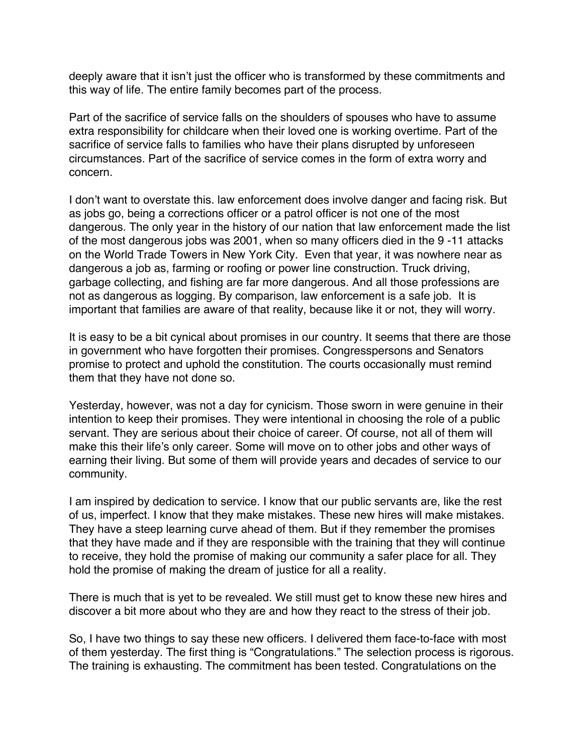deeply aware that it isn't just the officer who is transformed by these commitments and this way of life. The entire family becomes part of the process.

Part of the sacrifice of service falls on the shoulders of spouses who have to assume extra responsibility for childcare when their loved one is working overtime. Part of the sacrifice of service falls to families who have their plans disrupted by unforeseen circumstances. Part of the sacrifice of service comes in the form of extra worry and concern.

I don't want to overstate this. law enforcement does involve danger and facing risk. But as jobs go, being a corrections officer or a patrol officer is not one of the most dangerous. The only year in the history of our nation that law enforcement made the list of the most dangerous jobs was 2001, when so many officers died in the 9 -11 attacks on the World Trade Towers in New York City. Even that year, it was nowhere near as dangerous a job as, farming or roofing or power line construction. Truck driving, garbage collecting, and fishing are far more dangerous. And all those professions are not as dangerous as logging. By comparison, law enforcement is a safe job. It is important that families are aware of that reality, because like it or not, they will worry.

It is easy to be a bit cynical about promises in our country. It seems that there are those in government who have forgotten their promises. Congresspersons and Senators promise to protect and uphold the constitution. The courts occasionally must remind them that they have not done so.

Yesterday, however, was not a day for cynicism. Those sworn in were genuine in their intention to keep their promises. They were intentional in choosing the role of a public servant. They are serious about their choice of career. Of course, not all of them will make this their life's only career. Some will move on to other jobs and other ways of earning their living. But some of them will provide years and decades of service to our community.

I am inspired by dedication to service. I know that our public servants are, like the rest of us, imperfect. I know that they make mistakes. These new hires will make mistakes. They have a steep learning curve ahead of them. But if they remember the promises that they have made and if they are responsible with the training that they will continue to receive, they hold the promise of making our community a safer place for all. They hold the promise of making the dream of justice for all a reality.

There is much that is yet to be revealed. We still must get to know these new hires and discover a bit more about who they are and how they react to the stress of their job.

So, I have two things to say these new officers. I delivered them face-to-face with most of them yesterday. The first thing is "Congratulations." The selection process is rigorous. The training is exhausting. The commitment has been tested. Congratulations on the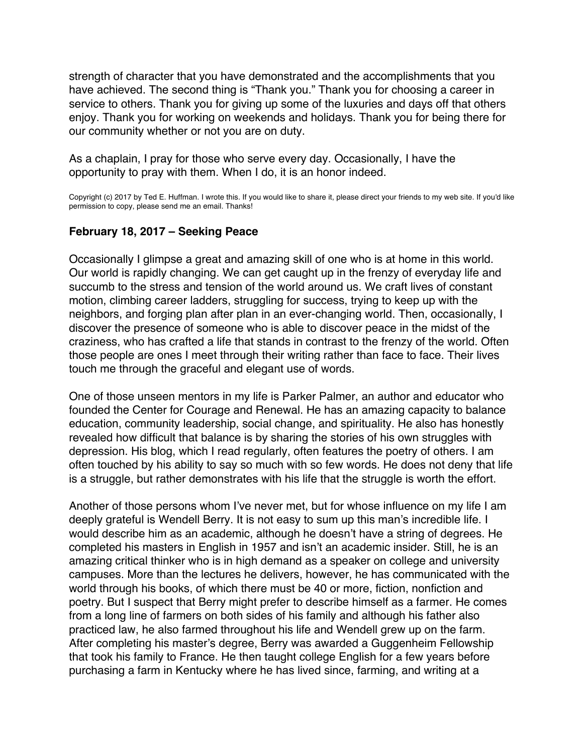<span id="page-38-0"></span>strength of character that you have demonstrated and the accomplishments that you have achieved. The second thing is "Thank you." Thank you for choosing a career in service to others. Thank you for giving up some of the luxuries and days off that others enjoy. Thank you for working on weekends and holidays. Thank you for being there for our community whether or not you are on duty.

As a chaplain, I pray for those who serve every day. Occasionally, I have the opportunity to pray with them. When I do, it is an honor indeed.

Copyright (c) 2017 by Ted E. Huffman. I wrote this. If you would like to share it, please direct your friends to my web site. If you'd like permission to copy, please send me an email. Thanks!

#### **February 18, 2017 – Seeking Peace**

Occasionally I glimpse a great and amazing skill of one who is at home in this world. Our world is rapidly changing. We can get caught up in the frenzy of everyday life and succumb to the stress and tension of the world around us. We craft lives of constant motion, climbing career ladders, struggling for success, trying to keep up with the neighbors, and forging plan after plan in an ever-changing world. Then, occasionally, I discover the presence of someone who is able to discover peace in the midst of the craziness, who has crafted a life that stands in contrast to the frenzy of the world. Often those people are ones I meet through their writing rather than face to face. Their lives touch me through the graceful and elegant use of words.

One of those unseen mentors in my life is Parker Palmer, an author and educator who founded the Center for Courage and Renewal. He has an amazing capacity to balance education, community leadership, social change, and spirituality. He also has honestly revealed how difficult that balance is by sharing the stories of his own struggles with depression. His blog, which I read regularly, often features the poetry of others. I am often touched by his ability to say so much with so few words. He does not deny that life is a struggle, but rather demonstrates with his life that the struggle is worth the effort.

Another of those persons whom I've never met, but for whose influence on my life I am deeply grateful is Wendell Berry. It is not easy to sum up this man's incredible life. I would describe him as an academic, although he doesn't have a string of degrees. He completed his masters in English in 1957 and isn't an academic insider. Still, he is an amazing critical thinker who is in high demand as a speaker on college and university campuses. More than the lectures he delivers, however, he has communicated with the world through his books, of which there must be 40 or more, fiction, nonfiction and poetry. But I suspect that Berry might prefer to describe himself as a farmer. He comes from a long line of farmers on both sides of his family and although his father also practiced law, he also farmed throughout his life and Wendell grew up on the farm. After completing his master's degree, Berry was awarded a Guggenheim Fellowship that took his family to France. He then taught college English for a few years before purchasing a farm in Kentucky where he has lived since, farming, and writing at a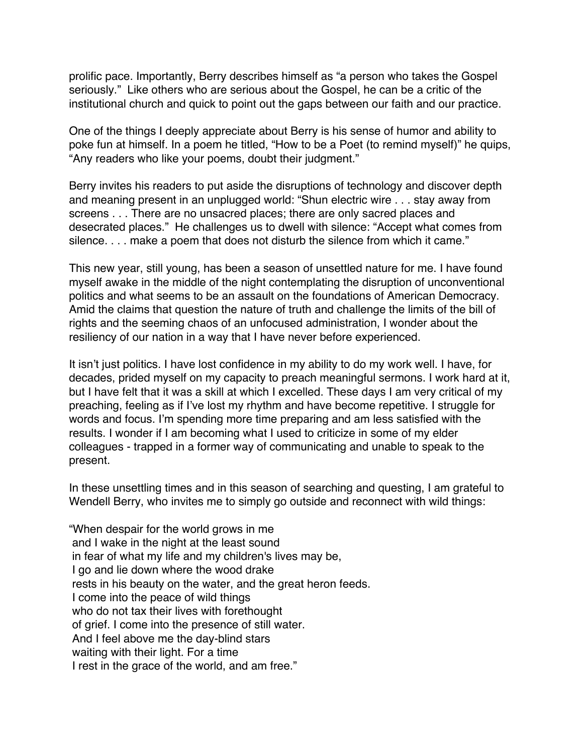prolific pace. Importantly, Berry describes himself as "a person who takes the Gospel seriously." Like others who are serious about the Gospel, he can be a critic of the institutional church and quick to point out the gaps between our faith and our practice.

One of the things I deeply appreciate about Berry is his sense of humor and ability to poke fun at himself. In a poem he titled, "How to be a Poet (to remind myself)" he quips, "Any readers who like your poems, doubt their judgment."

Berry invites his readers to put aside the disruptions of technology and discover depth and meaning present in an unplugged world: "Shun electric wire . . . stay away from screens . . . There are no unsacred places; there are only sacred places and desecrated places." He challenges us to dwell with silence: "Accept what comes from silence. . . . make a poem that does not disturb the silence from which it came."

This new year, still young, has been a season of unsettled nature for me. I have found myself awake in the middle of the night contemplating the disruption of unconventional politics and what seems to be an assault on the foundations of American Democracy. Amid the claims that question the nature of truth and challenge the limits of the bill of rights and the seeming chaos of an unfocused administration, I wonder about the resiliency of our nation in a way that I have never before experienced.

It isn't just politics. I have lost confidence in my ability to do my work well. I have, for decades, prided myself on my capacity to preach meaningful sermons. I work hard at it, but I have felt that it was a skill at which I excelled. These days I am very critical of my preaching, feeling as if I've lost my rhythm and have become repetitive. I struggle for words and focus. I'm spending more time preparing and am less satisfied with the results. I wonder if I am becoming what I used to criticize in some of my elder colleagues - trapped in a former way of communicating and unable to speak to the present.

In these unsettling times and in this season of searching and questing, I am grateful to Wendell Berry, who invites me to simply go outside and reconnect with wild things:

"When despair for the world grows in me and I wake in the night at the least sound in fear of what my life and my children's lives may be, I go and lie down where the wood drake rests in his beauty on the water, and the great heron feeds. I come into the peace of wild things who do not tax their lives with forethought of grief. I come into the presence of still water. And I feel above me the day-blind stars waiting with their light. For a time I rest in the grace of the world, and am free."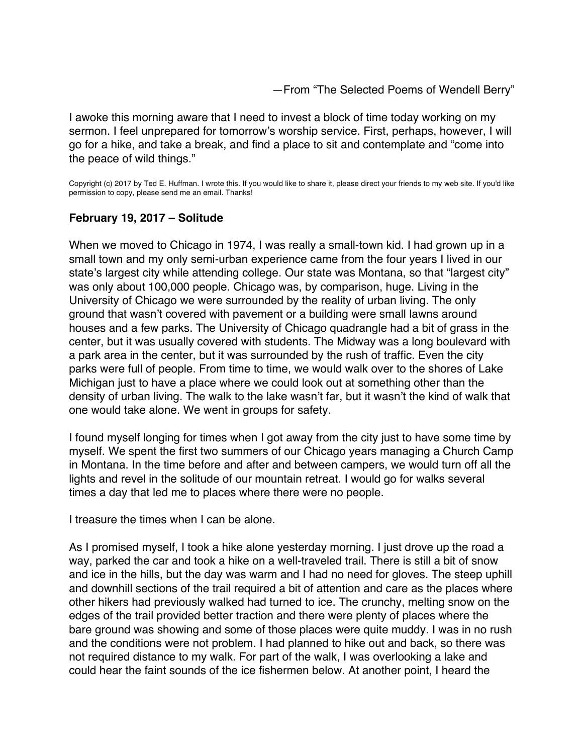—From "The Selected Poems of Wendell Berry"

<span id="page-40-0"></span>I awoke this morning aware that I need to invest a block of time today working on my sermon. I feel unprepared for tomorrow's worship service. First, perhaps, however, I will go for a hike, and take a break, and find a place to sit and contemplate and "come into the peace of wild things."

Copyright (c) 2017 by Ted E. Huffman. I wrote this. If you would like to share it, please direct your friends to my web site. If you'd like permission to copy, please send me an email. Thanks!

## **February 19, 2017 – Solitude**

When we moved to Chicago in 1974, I was really a small-town kid. I had grown up in a small town and my only semi-urban experience came from the four years I lived in our state's largest city while attending college. Our state was Montana, so that "largest city" was only about 100,000 people. Chicago was, by comparison, huge. Living in the University of Chicago we were surrounded by the reality of urban living. The only ground that wasn't covered with pavement or a building were small lawns around houses and a few parks. The University of Chicago quadrangle had a bit of grass in the center, but it was usually covered with students. The Midway was a long boulevard with a park area in the center, but it was surrounded by the rush of traffic. Even the city parks were full of people. From time to time, we would walk over to the shores of Lake Michigan just to have a place where we could look out at something other than the density of urban living. The walk to the lake wasn't far, but it wasn't the kind of walk that one would take alone. We went in groups for safety.

I found myself longing for times when I got away from the city just to have some time by myself. We spent the first two summers of our Chicago years managing a Church Camp in Montana. In the time before and after and between campers, we would turn off all the lights and revel in the solitude of our mountain retreat. I would go for walks several times a day that led me to places where there were no people.

I treasure the times when I can be alone.

As I promised myself, I took a hike alone yesterday morning. I just drove up the road a way, parked the car and took a hike on a well-traveled trail. There is still a bit of snow and ice in the hills, but the day was warm and I had no need for gloves. The steep uphill and downhill sections of the trail required a bit of attention and care as the places where other hikers had previously walked had turned to ice. The crunchy, melting snow on the edges of the trail provided better traction and there were plenty of places where the bare ground was showing and some of those places were quite muddy. I was in no rush and the conditions were not problem. I had planned to hike out and back, so there was not required distance to my walk. For part of the walk, I was overlooking a lake and could hear the faint sounds of the ice fishermen below. At another point, I heard the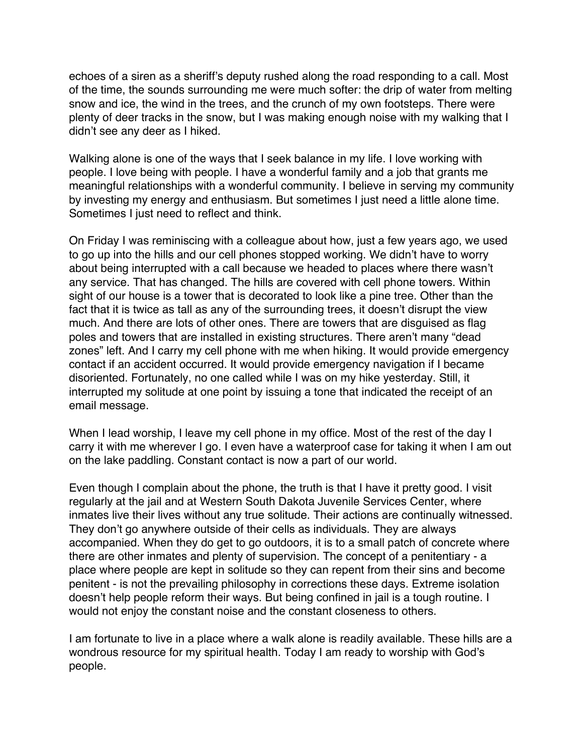echoes of a siren as a sheriff's deputy rushed along the road responding to a call. Most of the time, the sounds surrounding me were much softer: the drip of water from melting snow and ice, the wind in the trees, and the crunch of my own footsteps. There were plenty of deer tracks in the snow, but I was making enough noise with my walking that I didn't see any deer as I hiked.

Walking alone is one of the ways that I seek balance in my life. I love working with people. I love being with people. I have a wonderful family and a job that grants me meaningful relationships with a wonderful community. I believe in serving my community by investing my energy and enthusiasm. But sometimes I just need a little alone time. Sometimes I just need to reflect and think.

On Friday I was reminiscing with a colleague about how, just a few years ago, we used to go up into the hills and our cell phones stopped working. We didn't have to worry about being interrupted with a call because we headed to places where there wasn't any service. That has changed. The hills are covered with cell phone towers. Within sight of our house is a tower that is decorated to look like a pine tree. Other than the fact that it is twice as tall as any of the surrounding trees, it doesn't disrupt the view much. And there are lots of other ones. There are towers that are disguised as flag poles and towers that are installed in existing structures. There aren't many "dead zones" left. And I carry my cell phone with me when hiking. It would provide emergency contact if an accident occurred. It would provide emergency navigation if I became disoriented. Fortunately, no one called while I was on my hike yesterday. Still, it interrupted my solitude at one point by issuing a tone that indicated the receipt of an email message.

When I lead worship, I leave my cell phone in my office. Most of the rest of the day I carry it with me wherever I go. I even have a waterproof case for taking it when I am out on the lake paddling. Constant contact is now a part of our world.

Even though I complain about the phone, the truth is that I have it pretty good. I visit regularly at the jail and at Western South Dakota Juvenile Services Center, where inmates live their lives without any true solitude. Their actions are continually witnessed. They don't go anywhere outside of their cells as individuals. They are always accompanied. When they do get to go outdoors, it is to a small patch of concrete where there are other inmates and plenty of supervision. The concept of a penitentiary - a place where people are kept in solitude so they can repent from their sins and become penitent - is not the prevailing philosophy in corrections these days. Extreme isolation doesn't help people reform their ways. But being confined in jail is a tough routine. I would not enjoy the constant noise and the constant closeness to others.

I am fortunate to live in a place where a walk alone is readily available. These hills are a wondrous resource for my spiritual health. Today I am ready to worship with God's people.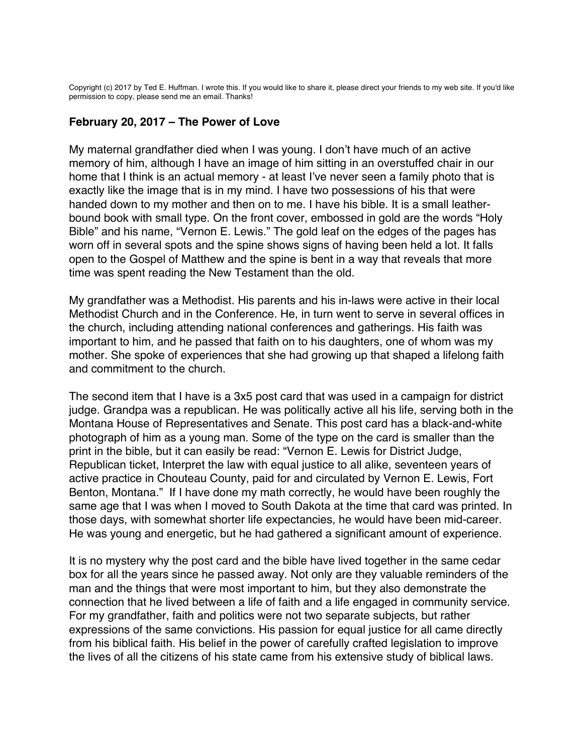<span id="page-42-0"></span>Copyright (c) 2017 by Ted E. Huffman. I wrote this. If you would like to share it, please direct your friends to my web site. If you'd like permission to copy, please send me an email. Thanks!

#### **February 20, 2017 – The Power of Love**

My maternal grandfather died when I was young. I don't have much of an active memory of him, although I have an image of him sitting in an overstuffed chair in our home that I think is an actual memory - at least I've never seen a family photo that is exactly like the image that is in my mind. I have two possessions of his that were handed down to my mother and then on to me. I have his bible. It is a small leatherbound book with small type. On the front cover, embossed in gold are the words "Holy Bible" and his name, "Vernon E. Lewis." The gold leaf on the edges of the pages has worn off in several spots and the spine shows signs of having been held a lot. It falls open to the Gospel of Matthew and the spine is bent in a way that reveals that more time was spent reading the New Testament than the old.

My grandfather was a Methodist. His parents and his in-laws were active in their local Methodist Church and in the Conference. He, in turn went to serve in several offices in the church, including attending national conferences and gatherings. His faith was important to him, and he passed that faith on to his daughters, one of whom was my mother. She spoke of experiences that she had growing up that shaped a lifelong faith and commitment to the church.

The second item that I have is a 3x5 post card that was used in a campaign for district judge. Grandpa was a republican. He was politically active all his life, serving both in the Montana House of Representatives and Senate. This post card has a black-and-white photograph of him as a young man. Some of the type on the card is smaller than the print in the bible, but it can easily be read: "Vernon E. Lewis for District Judge, Republican ticket, Interpret the law with equal justice to all alike, seventeen years of active practice in Chouteau County, paid for and circulated by Vernon E. Lewis, Fort Benton, Montana." If I have done my math correctly, he would have been roughly the same age that I was when I moved to South Dakota at the time that card was printed. In those days, with somewhat shorter life expectancies, he would have been mid-career. He was young and energetic, but he had gathered a significant amount of experience.

It is no mystery why the post card and the bible have lived together in the same cedar box for all the years since he passed away. Not only are they valuable reminders of the man and the things that were most important to him, but they also demonstrate the connection that he lived between a life of faith and a life engaged in community service. For my grandfather, faith and politics were not two separate subjects, but rather expressions of the same convictions. His passion for equal justice for all came directly from his biblical faith. His belief in the power of carefully crafted legislation to improve the lives of all the citizens of his state came from his extensive study of biblical laws.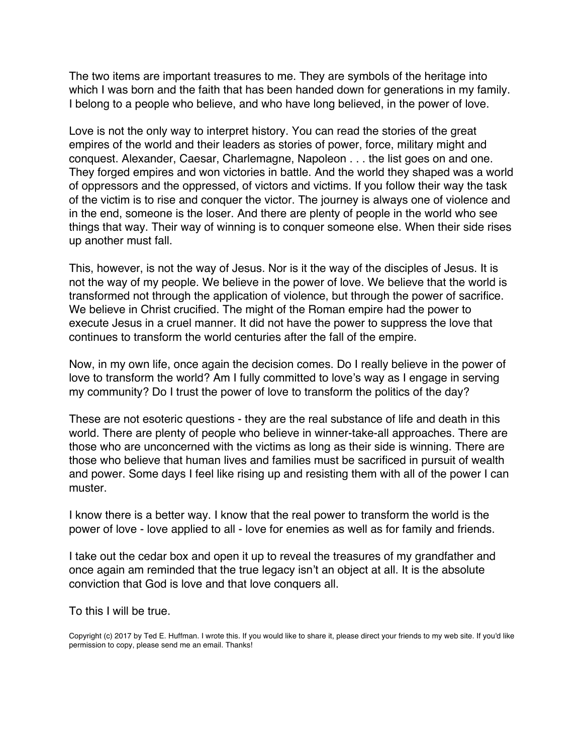The two items are important treasures to me. They are symbols of the heritage into which I was born and the faith that has been handed down for generations in my family. I belong to a people who believe, and who have long believed, in the power of love.

Love is not the only way to interpret history. You can read the stories of the great empires of the world and their leaders as stories of power, force, military might and conquest. Alexander, Caesar, Charlemagne, Napoleon . . . the list goes on and one. They forged empires and won victories in battle. And the world they shaped was a world of oppressors and the oppressed, of victors and victims. If you follow their way the task of the victim is to rise and conquer the victor. The journey is always one of violence and in the end, someone is the loser. And there are plenty of people in the world who see things that way. Their way of winning is to conquer someone else. When their side rises up another must fall.

This, however, is not the way of Jesus. Nor is it the way of the disciples of Jesus. It is not the way of my people. We believe in the power of love. We believe that the world is transformed not through the application of violence, but through the power of sacrifice. We believe in Christ crucified. The might of the Roman empire had the power to execute Jesus in a cruel manner. It did not have the power to suppress the love that continues to transform the world centuries after the fall of the empire.

Now, in my own life, once again the decision comes. Do I really believe in the power of love to transform the world? Am I fully committed to love's way as I engage in serving my community? Do I trust the power of love to transform the politics of the day?

These are not esoteric questions - they are the real substance of life and death in this world. There are plenty of people who believe in winner-take-all approaches. There are those who are unconcerned with the victims as long as their side is winning. There are those who believe that human lives and families must be sacrificed in pursuit of wealth and power. Some days I feel like rising up and resisting them with all of the power I can muster.

I know there is a better way. I know that the real power to transform the world is the power of love - love applied to all - love for enemies as well as for family and friends.

I take out the cedar box and open it up to reveal the treasures of my grandfather and once again am reminded that the true legacy isn't an object at all. It is the absolute conviction that God is love and that love conquers all.

To this I will be true.

Copyright (c) 2017 by Ted E. Huffman. I wrote this. If you would like to share it, please direct your friends to my web site. If you'd like permission to copy, please send me an email. Thanks!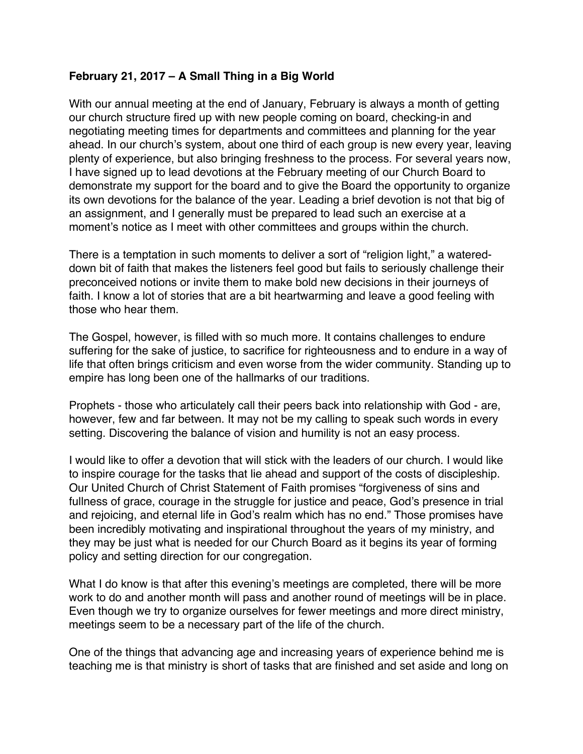## <span id="page-44-0"></span>**February 21, 2017 – A Small Thing in a Big World**

With our annual meeting at the end of January, February is always a month of getting our church structure fired up with new people coming on board, checking-in and negotiating meeting times for departments and committees and planning for the year ahead. In our church's system, about one third of each group is new every year, leaving plenty of experience, but also bringing freshness to the process. For several years now, I have signed up to lead devotions at the February meeting of our Church Board to demonstrate my support for the board and to give the Board the opportunity to organize its own devotions for the balance of the year. Leading a brief devotion is not that big of an assignment, and I generally must be prepared to lead such an exercise at a moment's notice as I meet with other committees and groups within the church.

There is a temptation in such moments to deliver a sort of "religion light," a watereddown bit of faith that makes the listeners feel good but fails to seriously challenge their preconceived notions or invite them to make bold new decisions in their journeys of faith. I know a lot of stories that are a bit heartwarming and leave a good feeling with those who hear them.

The Gospel, however, is filled with so much more. It contains challenges to endure suffering for the sake of justice, to sacrifice for righteousness and to endure in a way of life that often brings criticism and even worse from the wider community. Standing up to empire has long been one of the hallmarks of our traditions.

Prophets - those who articulately call their peers back into relationship with God - are, however, few and far between. It may not be my calling to speak such words in every setting. Discovering the balance of vision and humility is not an easy process.

I would like to offer a devotion that will stick with the leaders of our church. I would like to inspire courage for the tasks that lie ahead and support of the costs of discipleship. Our United Church of Christ Statement of Faith promises "forgiveness of sins and fullness of grace, courage in the struggle for justice and peace, God's presence in trial and rejoicing, and eternal life in God's realm which has no end." Those promises have been incredibly motivating and inspirational throughout the years of my ministry, and they may be just what is needed for our Church Board as it begins its year of forming policy and setting direction for our congregation.

What I do know is that after this evening's meetings are completed, there will be more work to do and another month will pass and another round of meetings will be in place. Even though we try to organize ourselves for fewer meetings and more direct ministry, meetings seem to be a necessary part of the life of the church.

One of the things that advancing age and increasing years of experience behind me is teaching me is that ministry is short of tasks that are finished and set aside and long on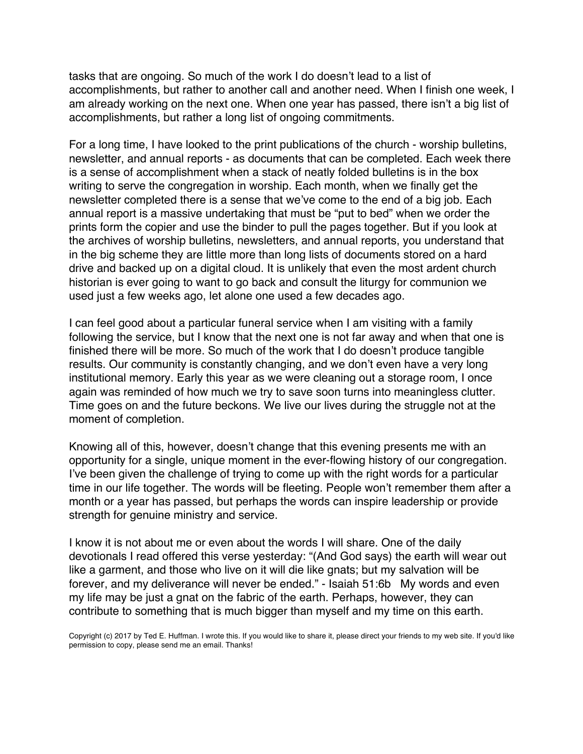tasks that are ongoing. So much of the work I do doesn't lead to a list of accomplishments, but rather to another call and another need. When I finish one week, I am already working on the next one. When one year has passed, there isn't a big list of accomplishments, but rather a long list of ongoing commitments.

For a long time, I have looked to the print publications of the church - worship bulletins, newsletter, and annual reports - as documents that can be completed. Each week there is a sense of accomplishment when a stack of neatly folded bulletins is in the box writing to serve the congregation in worship. Each month, when we finally get the newsletter completed there is a sense that we've come to the end of a big job. Each annual report is a massive undertaking that must be "put to bed" when we order the prints form the copier and use the binder to pull the pages together. But if you look at the archives of worship bulletins, newsletters, and annual reports, you understand that in the big scheme they are little more than long lists of documents stored on a hard drive and backed up on a digital cloud. It is unlikely that even the most ardent church historian is ever going to want to go back and consult the liturgy for communion we used just a few weeks ago, let alone one used a few decades ago.

I can feel good about a particular funeral service when I am visiting with a family following the service, but I know that the next one is not far away and when that one is finished there will be more. So much of the work that I do doesn't produce tangible results. Our community is constantly changing, and we don't even have a very long institutional memory. Early this year as we were cleaning out a storage room, I once again was reminded of how much we try to save soon turns into meaningless clutter. Time goes on and the future beckons. We live our lives during the struggle not at the moment of completion.

Knowing all of this, however, doesn't change that this evening presents me with an opportunity for a single, unique moment in the ever-flowing history of our congregation. I've been given the challenge of trying to come up with the right words for a particular time in our life together. The words will be fleeting. People won't remember them after a month or a year has passed, but perhaps the words can inspire leadership or provide strength for genuine ministry and service.

I know it is not about me or even about the words I will share. One of the daily devotionals I read offered this verse yesterday: "(And God says) the earth will wear out like a garment, and those who live on it will die like gnats; but my salvation will be forever, and my deliverance will never be ended." - Isaiah 51:6b My words and even my life may be just a gnat on the fabric of the earth. Perhaps, however, they can contribute to something that is much bigger than myself and my time on this earth.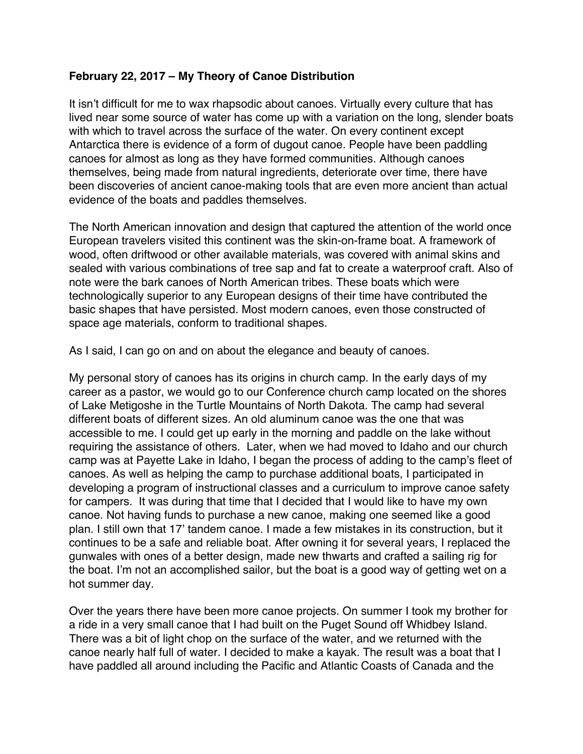## <span id="page-46-0"></span>**February 22, 2017 – My Theory of Canoe Distribution**

It isn't difficult for me to wax rhapsodic about canoes. Virtually every culture that has lived near some source of water has come up with a variation on the long, slender boats with which to travel across the surface of the water. On every continent except Antarctica there is evidence of a form of dugout canoe. People have been paddling canoes for almost as long as they have formed communities. Although canoes themselves, being made from natural ingredients, deteriorate over time, there have been discoveries of ancient canoe-making tools that are even more ancient than actual evidence of the boats and paddles themselves.

The North American innovation and design that captured the attention of the world once European travelers visited this continent was the skin-on-frame boat. A framework of wood, often driftwood or other available materials, was covered with animal skins and sealed with various combinations of tree sap and fat to create a waterproof craft. Also of note were the bark canoes of North American tribes. These boats which were technologically superior to any European designs of their time have contributed the basic shapes that have persisted. Most modern canoes, even those constructed of space age materials, conform to traditional shapes.

As I said, I can go on and on about the elegance and beauty of canoes.

My personal story of canoes has its origins in church camp. In the early days of my career as a pastor, we would go to our Conference church camp located on the shores of Lake Metigoshe in the Turtle Mountains of North Dakota. The camp had several different boats of different sizes. An old aluminum canoe was the one that was accessible to me. I could get up early in the morning and paddle on the lake without requiring the assistance of others. Later, when we had moved to Idaho and our church camp was at Payette Lake in Idaho, I began the process of adding to the camp's fleet of canoes. As well as helping the camp to purchase additional boats, I participated in developing a program of instructional classes and a curriculum to improve canoe safety for campers. It was during that time that I decided that I would like to have my own canoe. Not having funds to purchase a new canoe, making one seemed like a good plan. I still own that 17' tandem canoe. I made a few mistakes in its construction, but it continues to be a safe and reliable boat. After owning it for several years, I replaced the gunwales with ones of a better design, made new thwarts and crafted a sailing rig for the boat. I'm not an accomplished sailor, but the boat is a good way of getting wet on a hot summer day.

Over the years there have been more canoe projects. On summer I took my brother for a ride in a very small canoe that I had built on the Puget Sound off Whidbey Island. There was a bit of light chop on the surface of the water, and we returned with the canoe nearly half full of water. I decided to make a kayak. The result was a boat that I have paddled all around including the Pacific and Atlantic Coasts of Canada and the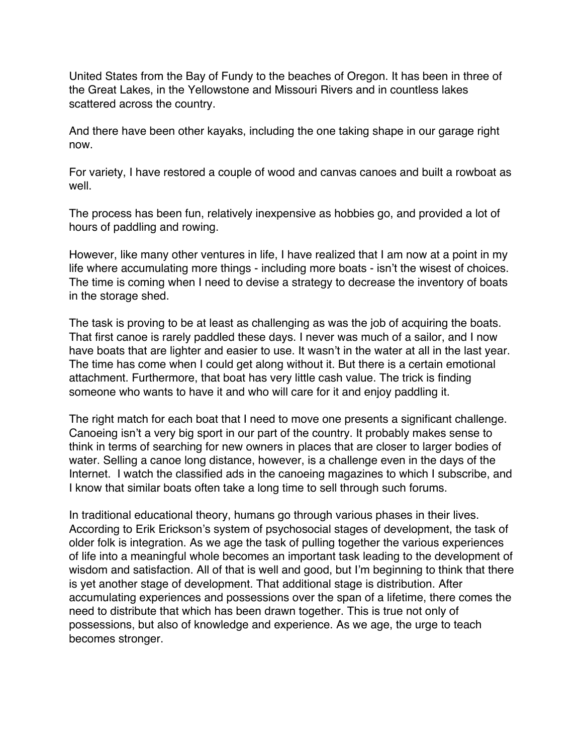United States from the Bay of Fundy to the beaches of Oregon. It has been in three of the Great Lakes, in the Yellowstone and Missouri Rivers and in countless lakes scattered across the country.

And there have been other kayaks, including the one taking shape in our garage right now.

For variety, I have restored a couple of wood and canvas canoes and built a rowboat as well.

The process has been fun, relatively inexpensive as hobbies go, and provided a lot of hours of paddling and rowing.

However, like many other ventures in life, I have realized that I am now at a point in my life where accumulating more things - including more boats - isn't the wisest of choices. The time is coming when I need to devise a strategy to decrease the inventory of boats in the storage shed.

The task is proving to be at least as challenging as was the job of acquiring the boats. That first canoe is rarely paddled these days. I never was much of a sailor, and I now have boats that are lighter and easier to use. It wasn't in the water at all in the last year. The time has come when I could get along without it. But there is a certain emotional attachment. Furthermore, that boat has very little cash value. The trick is finding someone who wants to have it and who will care for it and enjoy paddling it.

The right match for each boat that I need to move one presents a significant challenge. Canoeing isn't a very big sport in our part of the country. It probably makes sense to think in terms of searching for new owners in places that are closer to larger bodies of water. Selling a canoe long distance, however, is a challenge even in the days of the Internet. I watch the classified ads in the canoeing magazines to which I subscribe, and I know that similar boats often take a long time to sell through such forums.

In traditional educational theory, humans go through various phases in their lives. According to Erik Erickson's system of psychosocial stages of development, the task of older folk is integration. As we age the task of pulling together the various experiences of life into a meaningful whole becomes an important task leading to the development of wisdom and satisfaction. All of that is well and good, but I'm beginning to think that there is yet another stage of development. That additional stage is distribution. After accumulating experiences and possessions over the span of a lifetime, there comes the need to distribute that which has been drawn together. This is true not only of possessions, but also of knowledge and experience. As we age, the urge to teach becomes stronger.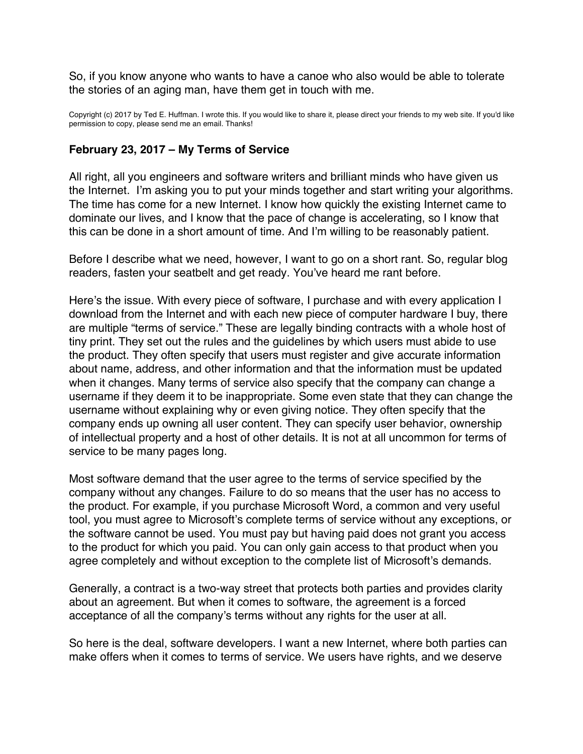<span id="page-48-0"></span>So, if you know anyone who wants to have a canoe who also would be able to tolerate the stories of an aging man, have them get in touch with me.

Copyright (c) 2017 by Ted E. Huffman. I wrote this. If you would like to share it, please direct your friends to my web site. If you'd like permission to copy, please send me an email. Thanks!

#### **February 23, 2017 – My Terms of Service**

All right, all you engineers and software writers and brilliant minds who have given us the Internet. I'm asking you to put your minds together and start writing your algorithms. The time has come for a new Internet. I know how quickly the existing Internet came to dominate our lives, and I know that the pace of change is accelerating, so I know that this can be done in a short amount of time. And I'm willing to be reasonably patient.

Before I describe what we need, however, I want to go on a short rant. So, regular blog readers, fasten your seatbelt and get ready. You've heard me rant before.

Here's the issue. With every piece of software, I purchase and with every application I download from the Internet and with each new piece of computer hardware I buy, there are multiple "terms of service." These are legally binding contracts with a whole host of tiny print. They set out the rules and the guidelines by which users must abide to use the product. They often specify that users must register and give accurate information about name, address, and other information and that the information must be updated when it changes. Many terms of service also specify that the company can change a username if they deem it to be inappropriate. Some even state that they can change the username without explaining why or even giving notice. They often specify that the company ends up owning all user content. They can specify user behavior, ownership of intellectual property and a host of other details. It is not at all uncommon for terms of service to be many pages long.

Most software demand that the user agree to the terms of service specified by the company without any changes. Failure to do so means that the user has no access to the product. For example, if you purchase Microsoft Word, a common and very useful tool, you must agree to Microsoft's complete terms of service without any exceptions, or the software cannot be used. You must pay but having paid does not grant you access to the product for which you paid. You can only gain access to that product when you agree completely and without exception to the complete list of Microsoft's demands.

Generally, a contract is a two-way street that protects both parties and provides clarity about an agreement. But when it comes to software, the agreement is a forced acceptance of all the company's terms without any rights for the user at all.

So here is the deal, software developers. I want a new Internet, where both parties can make offers when it comes to terms of service. We users have rights, and we deserve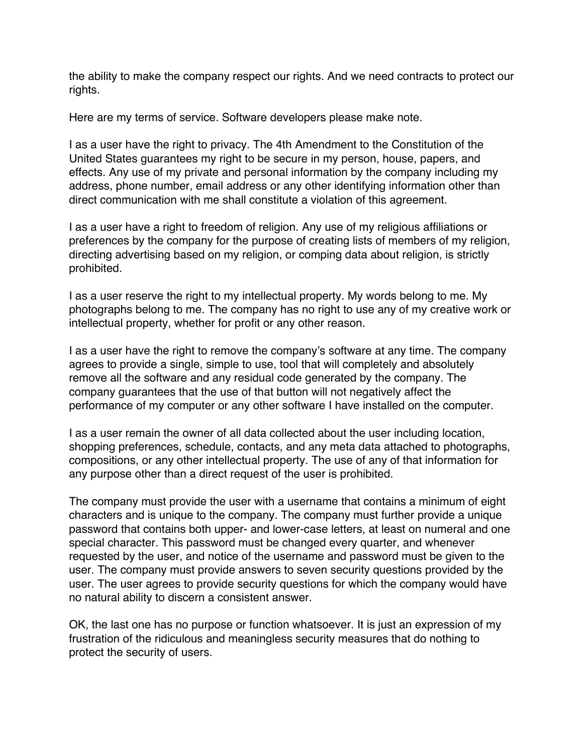the ability to make the company respect our rights. And we need contracts to protect our rights.

Here are my terms of service. Software developers please make note.

I as a user have the right to privacy. The 4th Amendment to the Constitution of the United States guarantees my right to be secure in my person, house, papers, and effects. Any use of my private and personal information by the company including my address, phone number, email address or any other identifying information other than direct communication with me shall constitute a violation of this agreement.

I as a user have a right to freedom of religion. Any use of my religious affiliations or preferences by the company for the purpose of creating lists of members of my religion, directing advertising based on my religion, or comping data about religion, is strictly prohibited.

I as a user reserve the right to my intellectual property. My words belong to me. My photographs belong to me. The company has no right to use any of my creative work or intellectual property, whether for profit or any other reason.

I as a user have the right to remove the company's software at any time. The company agrees to provide a single, simple to use, tool that will completely and absolutely remove all the software and any residual code generated by the company. The company guarantees that the use of that button will not negatively affect the performance of my computer or any other software I have installed on the computer.

I as a user remain the owner of all data collected about the user including location, shopping preferences, schedule, contacts, and any meta data attached to photographs, compositions, or any other intellectual property. The use of any of that information for any purpose other than a direct request of the user is prohibited.

The company must provide the user with a username that contains a minimum of eight characters and is unique to the company. The company must further provide a unique password that contains both upper- and lower-case letters, at least on numeral and one special character. This password must be changed every quarter, and whenever requested by the user, and notice of the username and password must be given to the user. The company must provide answers to seven security questions provided by the user. The user agrees to provide security questions for which the company would have no natural ability to discern a consistent answer.

OK, the last one has no purpose or function whatsoever. It is just an expression of my frustration of the ridiculous and meaningless security measures that do nothing to protect the security of users.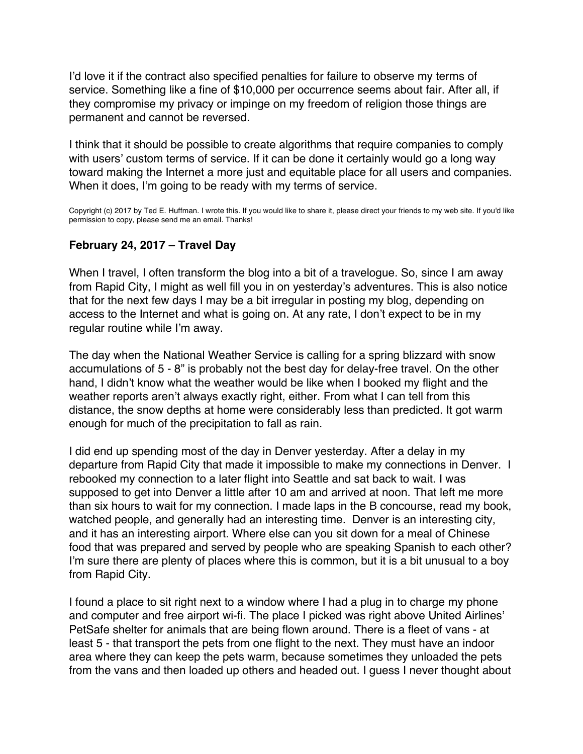<span id="page-50-0"></span>I'd love it if the contract also specified penalties for failure to observe my terms of service. Something like a fine of \$10,000 per occurrence seems about fair. After all, if they compromise my privacy or impinge on my freedom of religion those things are permanent and cannot be reversed.

I think that it should be possible to create algorithms that require companies to comply with users' custom terms of service. If it can be done it certainly would go a long way toward making the Internet a more just and equitable place for all users and companies. When it does, I'm going to be ready with my terms of service.

Copyright (c) 2017 by Ted E. Huffman. I wrote this. If you would like to share it, please direct your friends to my web site. If you'd like permission to copy, please send me an email. Thanks!

#### **February 24, 2017 – Travel Day**

When I travel, I often transform the blog into a bit of a travelogue. So, since I am away from Rapid City, I might as well fill you in on yesterday's adventures. This is also notice that for the next few days I may be a bit irregular in posting my blog, depending on access to the Internet and what is going on. At any rate, I don't expect to be in my regular routine while I'm away.

The day when the National Weather Service is calling for a spring blizzard with snow accumulations of 5 - 8" is probably not the best day for delay-free travel. On the other hand, I didn't know what the weather would be like when I booked my flight and the weather reports aren't always exactly right, either. From what I can tell from this distance, the snow depths at home were considerably less than predicted. It got warm enough for much of the precipitation to fall as rain.

I did end up spending most of the day in Denver yesterday. After a delay in my departure from Rapid City that made it impossible to make my connections in Denver. I rebooked my connection to a later flight into Seattle and sat back to wait. I was supposed to get into Denver a little after 10 am and arrived at noon. That left me more than six hours to wait for my connection. I made laps in the B concourse, read my book, watched people, and generally had an interesting time. Denver is an interesting city, and it has an interesting airport. Where else can you sit down for a meal of Chinese food that was prepared and served by people who are speaking Spanish to each other? I'm sure there are plenty of places where this is common, but it is a bit unusual to a boy from Rapid City.

I found a place to sit right next to a window where I had a plug in to charge my phone and computer and free airport wi-fi. The place I picked was right above United Airlines' PetSafe shelter for animals that are being flown around. There is a fleet of vans - at least 5 - that transport the pets from one flight to the next. They must have an indoor area where they can keep the pets warm, because sometimes they unloaded the pets from the vans and then loaded up others and headed out. I guess I never thought about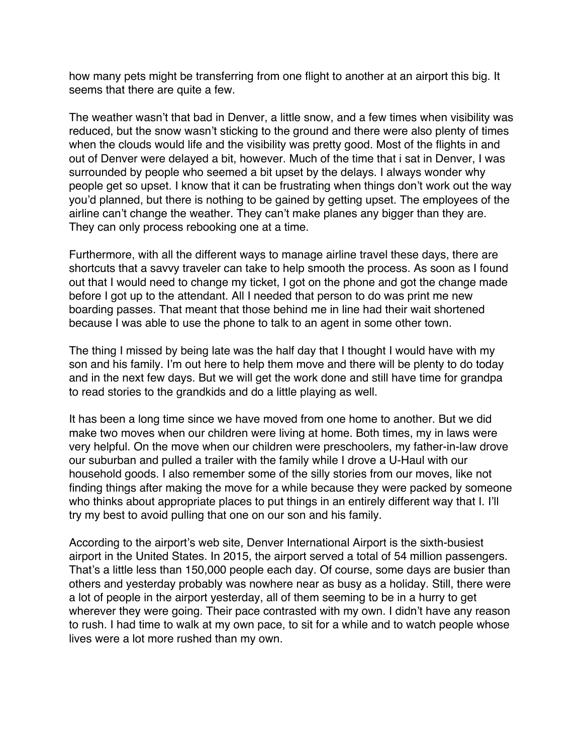how many pets might be transferring from one flight to another at an airport this big. It seems that there are quite a few.

The weather wasn't that bad in Denver, a little snow, and a few times when visibility was reduced, but the snow wasn't sticking to the ground and there were also plenty of times when the clouds would life and the visibility was pretty good. Most of the flights in and out of Denver were delayed a bit, however. Much of the time that i sat in Denver, I was surrounded by people who seemed a bit upset by the delays. I always wonder why people get so upset. I know that it can be frustrating when things don't work out the way you'd planned, but there is nothing to be gained by getting upset. The employees of the airline can't change the weather. They can't make planes any bigger than they are. They can only process rebooking one at a time.

Furthermore, with all the different ways to manage airline travel these days, there are shortcuts that a savvy traveler can take to help smooth the process. As soon as I found out that I would need to change my ticket, I got on the phone and got the change made before I got up to the attendant. All I needed that person to do was print me new boarding passes. That meant that those behind me in line had their wait shortened because I was able to use the phone to talk to an agent in some other town.

The thing I missed by being late was the half day that I thought I would have with my son and his family. I'm out here to help them move and there will be plenty to do today and in the next few days. But we will get the work done and still have time for grandpa to read stories to the grandkids and do a little playing as well.

It has been a long time since we have moved from one home to another. But we did make two moves when our children were living at home. Both times, my in laws were very helpful. On the move when our children were preschoolers, my father-in-law drove our suburban and pulled a trailer with the family while I drove a U-Haul with our household goods. I also remember some of the silly stories from our moves, like not finding things after making the move for a while because they were packed by someone who thinks about appropriate places to put things in an entirely different way that I. I'll try my best to avoid pulling that one on our son and his family.

According to the airport's web site, Denver International Airport is the sixth-busiest airport in the United States. In 2015, the airport served a total of 54 million passengers. That's a little less than 150,000 people each day. Of course, some days are busier than others and yesterday probably was nowhere near as busy as a holiday. Still, there were a lot of people in the airport yesterday, all of them seeming to be in a hurry to get wherever they were going. Their pace contrasted with my own. I didn't have any reason to rush. I had time to walk at my own pace, to sit for a while and to watch people whose lives were a lot more rushed than my own.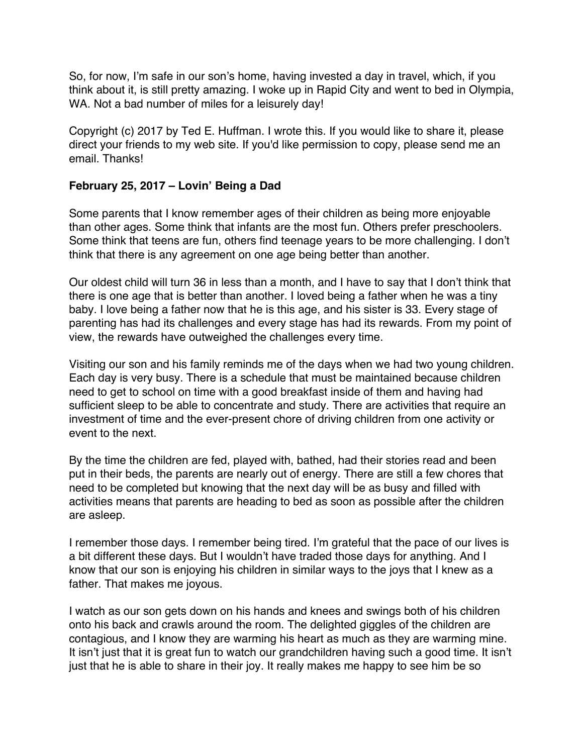<span id="page-52-0"></span>So, for now, I'm safe in our son's home, having invested a day in travel, which, if you think about it, is still pretty amazing. I woke up in Rapid City and went to bed in Olympia, WA. Not a bad number of miles for a leisurely day!

Copyright (c) 2017 by Ted E. Huffman. I wrote this. If you would like to share it, please direct your friends to my web site. If you'd like permission to copy, please send me an email. Thanks!

#### **February 25, 2017 – Lovin' Being a Dad**

Some parents that I know remember ages of their children as being more enjoyable than other ages. Some think that infants are the most fun. Others prefer preschoolers. Some think that teens are fun, others find teenage years to be more challenging. I don't think that there is any agreement on one age being better than another.

Our oldest child will turn 36 in less than a month, and I have to say that I don't think that there is one age that is better than another. I loved being a father when he was a tiny baby. I love being a father now that he is this age, and his sister is 33. Every stage of parenting has had its challenges and every stage has had its rewards. From my point of view, the rewards have outweighed the challenges every time.

Visiting our son and his family reminds me of the days when we had two young children. Each day is very busy. There is a schedule that must be maintained because children need to get to school on time with a good breakfast inside of them and having had sufficient sleep to be able to concentrate and study. There are activities that require an investment of time and the ever-present chore of driving children from one activity or event to the next.

By the time the children are fed, played with, bathed, had their stories read and been put in their beds, the parents are nearly out of energy. There are still a few chores that need to be completed but knowing that the next day will be as busy and filled with activities means that parents are heading to bed as soon as possible after the children are asleep.

I remember those days. I remember being tired. I'm grateful that the pace of our lives is a bit different these days. But I wouldn't have traded those days for anything. And I know that our son is enjoying his children in similar ways to the joys that I knew as a father. That makes me joyous.

I watch as our son gets down on his hands and knees and swings both of his children onto his back and crawls around the room. The delighted giggles of the children are contagious, and I know they are warming his heart as much as they are warming mine. It isn't just that it is great fun to watch our grandchildren having such a good time. It isn't just that he is able to share in their joy. It really makes me happy to see him be so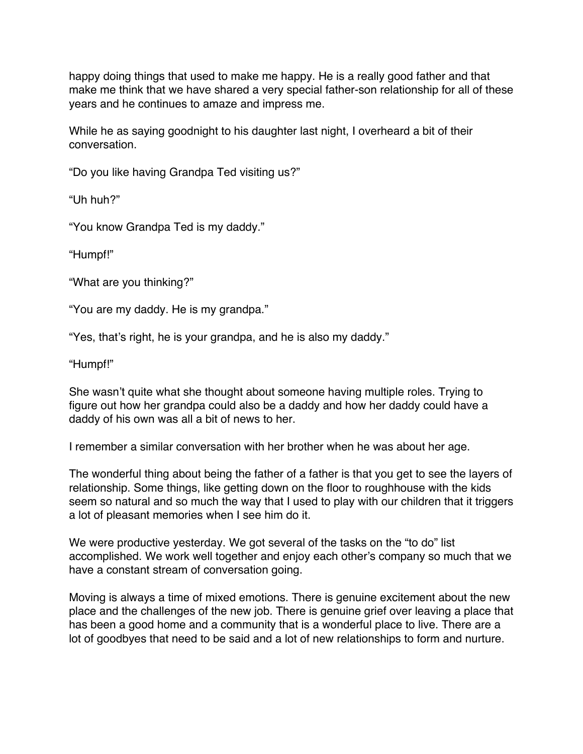happy doing things that used to make me happy. He is a really good father and that make me think that we have shared a very special father-son relationship for all of these years and he continues to amaze and impress me.

While he as saying goodnight to his daughter last night, I overheard a bit of their conversation.

"Do you like having Grandpa Ted visiting us?"

"Uh huh?"

"You know Grandpa Ted is my daddy."

"Humpf!"

"What are you thinking?"

"You are my daddy. He is my grandpa."

"Yes, that's right, he is your grandpa, and he is also my daddy."

"Humpf!"

She wasn't quite what she thought about someone having multiple roles. Trying to figure out how her grandpa could also be a daddy and how her daddy could have a daddy of his own was all a bit of news to her.

I remember a similar conversation with her brother when he was about her age.

The wonderful thing about being the father of a father is that you get to see the layers of relationship. Some things, like getting down on the floor to roughhouse with the kids seem so natural and so much the way that I used to play with our children that it triggers a lot of pleasant memories when I see him do it.

We were productive yesterday. We got several of the tasks on the "to do" list accomplished. We work well together and enjoy each other's company so much that we have a constant stream of conversation going.

Moving is always a time of mixed emotions. There is genuine excitement about the new place and the challenges of the new job. There is genuine grief over leaving a place that has been a good home and a community that is a wonderful place to live. There are a lot of goodbyes that need to be said and a lot of new relationships to form and nurture.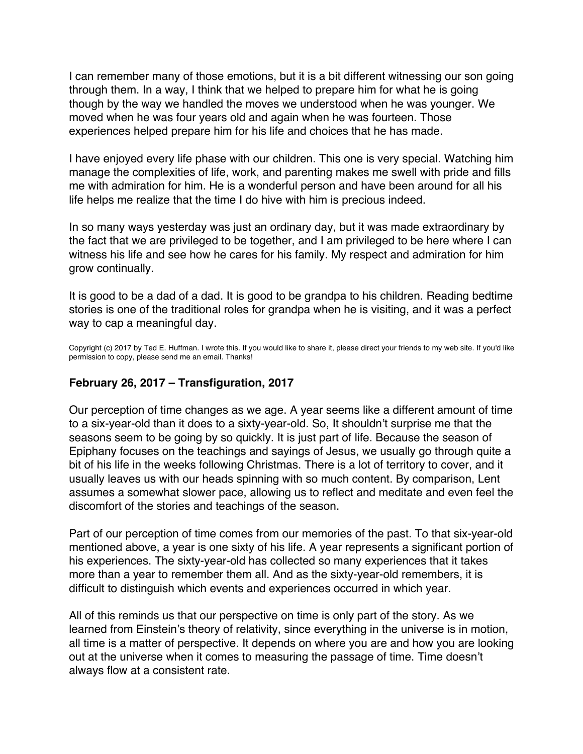<span id="page-54-0"></span>I can remember many of those emotions, but it is a bit different witnessing our son going through them. In a way, I think that we helped to prepare him for what he is going though by the way we handled the moves we understood when he was younger. We moved when he was four years old and again when he was fourteen. Those experiences helped prepare him for his life and choices that he has made.

I have enjoyed every life phase with our children. This one is very special. Watching him manage the complexities of life, work, and parenting makes me swell with pride and fills me with admiration for him. He is a wonderful person and have been around for all his life helps me realize that the time I do hive with him is precious indeed.

In so many ways yesterday was just an ordinary day, but it was made extraordinary by the fact that we are privileged to be together, and I am privileged to be here where I can witness his life and see how he cares for his family. My respect and admiration for him grow continually.

It is good to be a dad of a dad. It is good to be grandpa to his children. Reading bedtime stories is one of the traditional roles for grandpa when he is visiting, and it was a perfect way to cap a meaningful day.

Copyright (c) 2017 by Ted E. Huffman. I wrote this. If you would like to share it, please direct your friends to my web site. If you'd like permission to copy, please send me an email. Thanks!

#### **February 26, 2017 – Transfiguration, 2017**

Our perception of time changes as we age. A year seems like a different amount of time to a six-year-old than it does to a sixty-year-old. So, It shouldn't surprise me that the seasons seem to be going by so quickly. It is just part of life. Because the season of Epiphany focuses on the teachings and sayings of Jesus, we usually go through quite a bit of his life in the weeks following Christmas. There is a lot of territory to cover, and it usually leaves us with our heads spinning with so much content. By comparison, Lent assumes a somewhat slower pace, allowing us to reflect and meditate and even feel the discomfort of the stories and teachings of the season.

Part of our perception of time comes from our memories of the past. To that six-year-old mentioned above, a year is one sixty of his life. A year represents a significant portion of his experiences. The sixty-year-old has collected so many experiences that it takes more than a year to remember them all. And as the sixty-year-old remembers, it is difficult to distinguish which events and experiences occurred in which year.

All of this reminds us that our perspective on time is only part of the story. As we learned from Einstein's theory of relativity, since everything in the universe is in motion, all time is a matter of perspective. It depends on where you are and how you are looking out at the universe when it comes to measuring the passage of time. Time doesn't always flow at a consistent rate.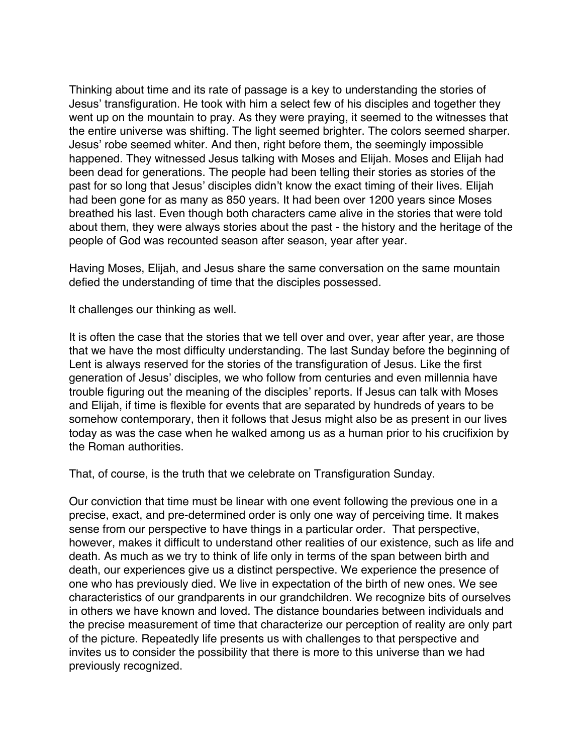Thinking about time and its rate of passage is a key to understanding the stories of Jesus' transfiguration. He took with him a select few of his disciples and together they went up on the mountain to pray. As they were praying, it seemed to the witnesses that the entire universe was shifting. The light seemed brighter. The colors seemed sharper. Jesus' robe seemed whiter. And then, right before them, the seemingly impossible happened. They witnessed Jesus talking with Moses and Elijah. Moses and Elijah had been dead for generations. The people had been telling their stories as stories of the past for so long that Jesus' disciples didn't know the exact timing of their lives. Elijah had been gone for as many as 850 years. It had been over 1200 years since Moses breathed his last. Even though both characters came alive in the stories that were told about them, they were always stories about the past - the history and the heritage of the people of God was recounted season after season, year after year.

Having Moses, Elijah, and Jesus share the same conversation on the same mountain defied the understanding of time that the disciples possessed.

It challenges our thinking as well.

It is often the case that the stories that we tell over and over, year after year, are those that we have the most difficulty understanding. The last Sunday before the beginning of Lent is always reserved for the stories of the transfiguration of Jesus. Like the first generation of Jesus' disciples, we who follow from centuries and even millennia have trouble figuring out the meaning of the disciples' reports. If Jesus can talk with Moses and Elijah, if time is flexible for events that are separated by hundreds of years to be somehow contemporary, then it follows that Jesus might also be as present in our lives today as was the case when he walked among us as a human prior to his crucifixion by the Roman authorities.

That, of course, is the truth that we celebrate on Transfiguration Sunday.

Our conviction that time must be linear with one event following the previous one in a precise, exact, and pre-determined order is only one way of perceiving time. It makes sense from our perspective to have things in a particular order. That perspective, however, makes it difficult to understand other realities of our existence, such as life and death. As much as we try to think of life only in terms of the span between birth and death, our experiences give us a distinct perspective. We experience the presence of one who has previously died. We live in expectation of the birth of new ones. We see characteristics of our grandparents in our grandchildren. We recognize bits of ourselves in others we have known and loved. The distance boundaries between individuals and the precise measurement of time that characterize our perception of reality are only part of the picture. Repeatedly life presents us with challenges to that perspective and invites us to consider the possibility that there is more to this universe than we had previously recognized.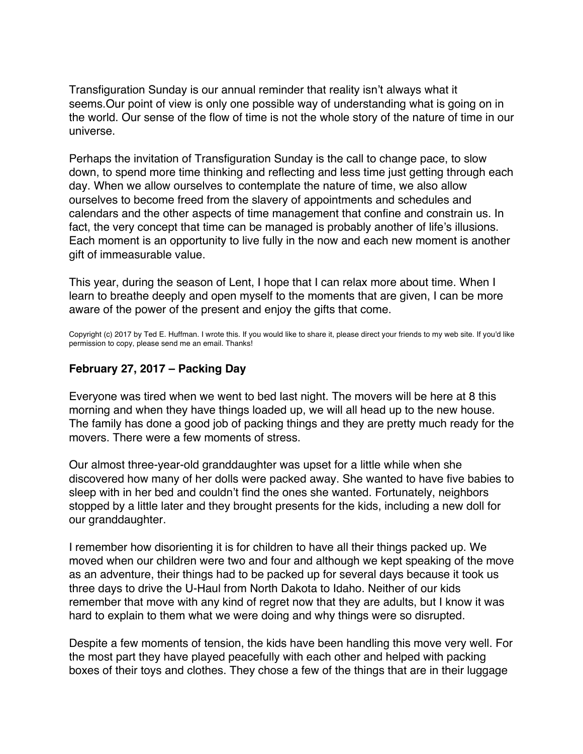<span id="page-56-0"></span>Transfiguration Sunday is our annual reminder that reality isn't always what it seems.Our point of view is only one possible way of understanding what is going on in the world. Our sense of the flow of time is not the whole story of the nature of time in our universe.

Perhaps the invitation of Transfiguration Sunday is the call to change pace, to slow down, to spend more time thinking and reflecting and less time just getting through each day. When we allow ourselves to contemplate the nature of time, we also allow ourselves to become freed from the slavery of appointments and schedules and calendars and the other aspects of time management that confine and constrain us. In fact, the very concept that time can be managed is probably another of life's illusions. Each moment is an opportunity to live fully in the now and each new moment is another gift of immeasurable value.

This year, during the season of Lent, I hope that I can relax more about time. When I learn to breathe deeply and open myself to the moments that are given, I can be more aware of the power of the present and enjoy the gifts that come.

Copyright (c) 2017 by Ted E. Huffman. I wrote this. If you would like to share it, please direct your friends to my web site. If you'd like permission to copy, please send me an email. Thanks!

#### **February 27, 2017 – Packing Day**

Everyone was tired when we went to bed last night. The movers will be here at 8 this morning and when they have things loaded up, we will all head up to the new house. The family has done a good job of packing things and they are pretty much ready for the movers. There were a few moments of stress.

Our almost three-year-old granddaughter was upset for a little while when she discovered how many of her dolls were packed away. She wanted to have five babies to sleep with in her bed and couldn't find the ones she wanted. Fortunately, neighbors stopped by a little later and they brought presents for the kids, including a new doll for our granddaughter.

I remember how disorienting it is for children to have all their things packed up. We moved when our children were two and four and although we kept speaking of the move as an adventure, their things had to be packed up for several days because it took us three days to drive the U-Haul from North Dakota to Idaho. Neither of our kids remember that move with any kind of regret now that they are adults, but I know it was hard to explain to them what we were doing and why things were so disrupted.

Despite a few moments of tension, the kids have been handling this move very well. For the most part they have played peacefully with each other and helped with packing boxes of their toys and clothes. They chose a few of the things that are in their luggage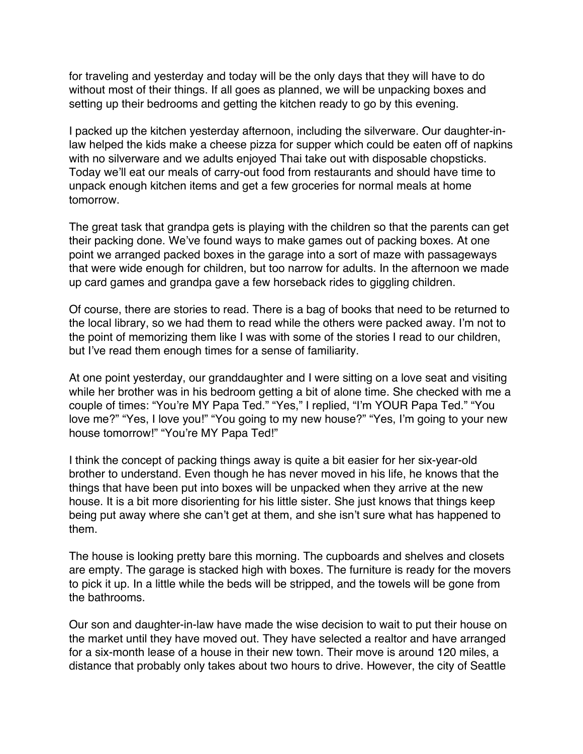for traveling and yesterday and today will be the only days that they will have to do without most of their things. If all goes as planned, we will be unpacking boxes and setting up their bedrooms and getting the kitchen ready to go by this evening.

I packed up the kitchen yesterday afternoon, including the silverware. Our daughter-inlaw helped the kids make a cheese pizza for supper which could be eaten off of napkins with no silverware and we adults enjoyed Thai take out with disposable chopsticks. Today we'll eat our meals of carry-out food from restaurants and should have time to unpack enough kitchen items and get a few groceries for normal meals at home tomorrow.

The great task that grandpa gets is playing with the children so that the parents can get their packing done. We've found ways to make games out of packing boxes. At one point we arranged packed boxes in the garage into a sort of maze with passageways that were wide enough for children, but too narrow for adults. In the afternoon we made up card games and grandpa gave a few horseback rides to giggling children.

Of course, there are stories to read. There is a bag of books that need to be returned to the local library, so we had them to read while the others were packed away. I'm not to the point of memorizing them like I was with some of the stories I read to our children, but I've read them enough times for a sense of familiarity.

At one point yesterday, our granddaughter and I were sitting on a love seat and visiting while her brother was in his bedroom getting a bit of alone time. She checked with me a couple of times: "You're MY Papa Ted." "Yes," I replied, "I'm YOUR Papa Ted." "You love me?" "Yes, I love you!" "You going to my new house?" "Yes, I'm going to your new house tomorrow!" "You're MY Papa Ted!"

I think the concept of packing things away is quite a bit easier for her six-year-old brother to understand. Even though he has never moved in his life, he knows that the things that have been put into boxes will be unpacked when they arrive at the new house. It is a bit more disorienting for his little sister. She just knows that things keep being put away where she can't get at them, and she isn't sure what has happened to them.

The house is looking pretty bare this morning. The cupboards and shelves and closets are empty. The garage is stacked high with boxes. The furniture is ready for the movers to pick it up. In a little while the beds will be stripped, and the towels will be gone from the bathrooms.

Our son and daughter-in-law have made the wise decision to wait to put their house on the market until they have moved out. They have selected a realtor and have arranged for a six-month lease of a house in their new town. Their move is around 120 miles, a distance that probably only takes about two hours to drive. However, the city of Seattle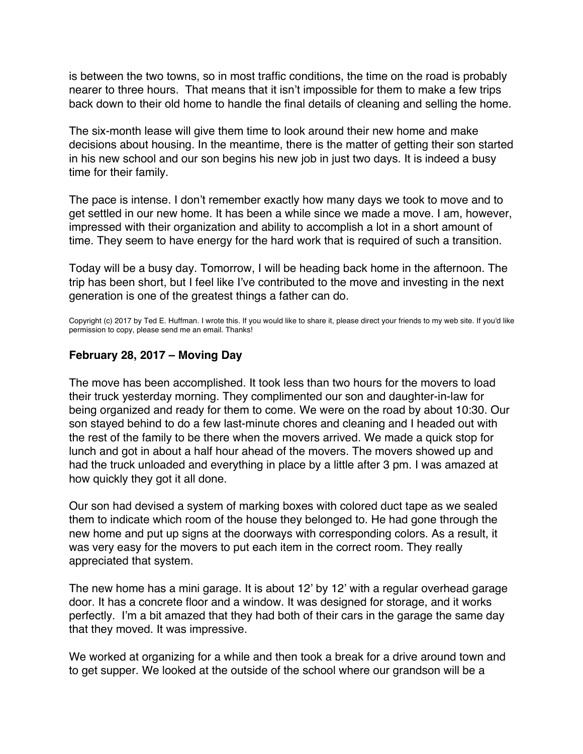<span id="page-58-0"></span>is between the two towns, so in most traffic conditions, the time on the road is probably nearer to three hours. That means that it isn't impossible for them to make a few trips back down to their old home to handle the final details of cleaning and selling the home.

The six-month lease will give them time to look around their new home and make decisions about housing. In the meantime, there is the matter of getting their son started in his new school and our son begins his new job in just two days. It is indeed a busy time for their family.

The pace is intense. I don't remember exactly how many days we took to move and to get settled in our new home. It has been a while since we made a move. I am, however, impressed with their organization and ability to accomplish a lot in a short amount of time. They seem to have energy for the hard work that is required of such a transition.

Today will be a busy day. Tomorrow, I will be heading back home in the afternoon. The trip has been short, but I feel like I've contributed to the move and investing in the next generation is one of the greatest things a father can do.

Copyright (c) 2017 by Ted E. Huffman. I wrote this. If you would like to share it, please direct your friends to my web site. If you'd like permission to copy, please send me an email. Thanks!

## **February 28, 2017 – Moving Day**

The move has been accomplished. It took less than two hours for the movers to load their truck yesterday morning. They complimented our son and daughter-in-law for being organized and ready for them to come. We were on the road by about 10:30. Our son stayed behind to do a few last-minute chores and cleaning and I headed out with the rest of the family to be there when the movers arrived. We made a quick stop for lunch and got in about a half hour ahead of the movers. The movers showed up and had the truck unloaded and everything in place by a little after 3 pm. I was amazed at how quickly they got it all done.

Our son had devised a system of marking boxes with colored duct tape as we sealed them to indicate which room of the house they belonged to. He had gone through the new home and put up signs at the doorways with corresponding colors. As a result, it was very easy for the movers to put each item in the correct room. They really appreciated that system.

The new home has a mini garage. It is about 12' by 12' with a regular overhead garage door. It has a concrete floor and a window. It was designed for storage, and it works perfectly. I'm a bit amazed that they had both of their cars in the garage the same day that they moved. It was impressive.

We worked at organizing for a while and then took a break for a drive around town and to get supper. We looked at the outside of the school where our grandson will be a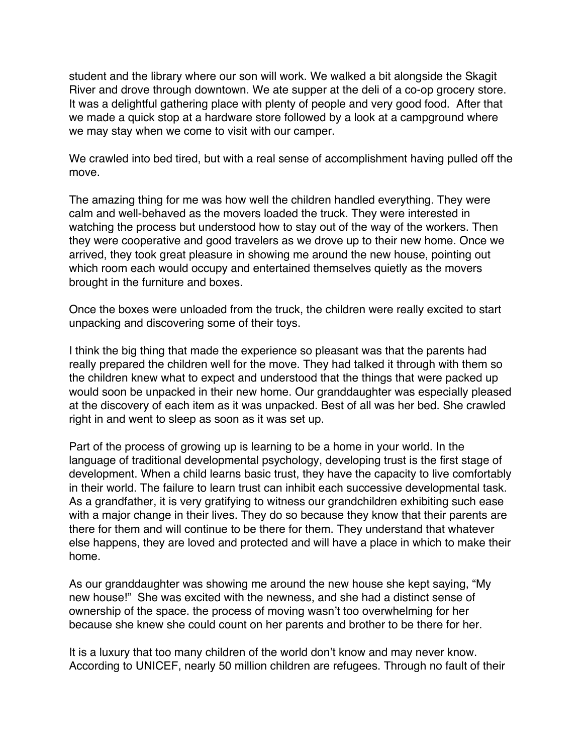student and the library where our son will work. We walked a bit alongside the Skagit River and drove through downtown. We ate supper at the deli of a co-op grocery store. It was a delightful gathering place with plenty of people and very good food. After that we made a quick stop at a hardware store followed by a look at a campground where we may stay when we come to visit with our camper.

We crawled into bed tired, but with a real sense of accomplishment having pulled off the move.

The amazing thing for me was how well the children handled everything. They were calm and well-behaved as the movers loaded the truck. They were interested in watching the process but understood how to stay out of the way of the workers. Then they were cooperative and good travelers as we drove up to their new home. Once we arrived, they took great pleasure in showing me around the new house, pointing out which room each would occupy and entertained themselves quietly as the movers brought in the furniture and boxes.

Once the boxes were unloaded from the truck, the children were really excited to start unpacking and discovering some of their toys.

I think the big thing that made the experience so pleasant was that the parents had really prepared the children well for the move. They had talked it through with them so the children knew what to expect and understood that the things that were packed up would soon be unpacked in their new home. Our granddaughter was especially pleased at the discovery of each item as it was unpacked. Best of all was her bed. She crawled right in and went to sleep as soon as it was set up.

Part of the process of growing up is learning to be a home in your world. In the language of traditional developmental psychology, developing trust is the first stage of development. When a child learns basic trust, they have the capacity to live comfortably in their world. The failure to learn trust can inhibit each successive developmental task. As a grandfather, it is very gratifying to witness our grandchildren exhibiting such ease with a major change in their lives. They do so because they know that their parents are there for them and will continue to be there for them. They understand that whatever else happens, they are loved and protected and will have a place in which to make their home.

As our granddaughter was showing me around the new house she kept saying, "My new house!" She was excited with the newness, and she had a distinct sense of ownership of the space. the process of moving wasn't too overwhelming for her because she knew she could count on her parents and brother to be there for her.

It is a luxury that too many children of the world don't know and may never know. According to UNICEF, nearly 50 million children are refugees. Through no fault of their